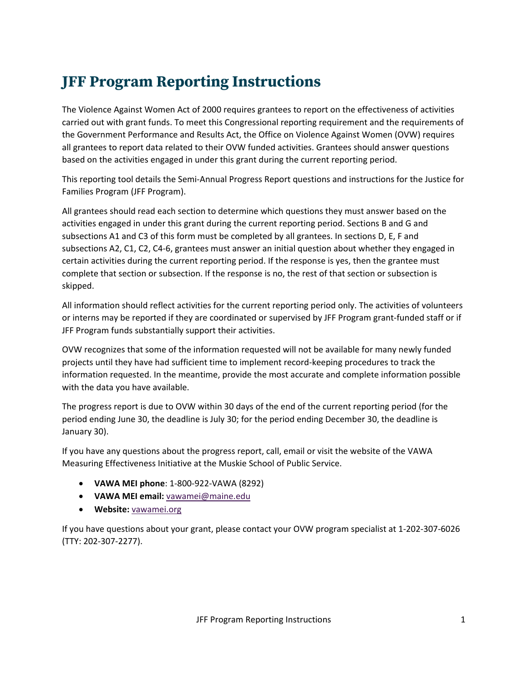# **JFF Program Reporting Instructions**

The Violence Against Women Act of 2000 requires grantees to report on the effectiveness of activities carried out with grant funds. To meet this Congressional reporting requirement and the requirements of the Government Performance and Results Act, the Office on Violence Against Women (OVW) requires all grantees to report data related to their OVW funded activities. Grantees should answer questions based on the activities engaged in under this grant during the current reporting period.

This reporting tool details the Semi-Annual Progress Report questions and instructions for the Justice for Families Program (JFF Program).

All grantees should read each section to determine which questions they must answer based on the activities engaged in under this grant during the current reporting period. Sections B and G and subsections A1 and C3 of this form must be completed by all grantees. In sections D, E, F and subsections A2, C1, C2, C4-6, grantees must answer an initial question about whether they engaged in certain activities during the current reporting period. If the response is yes, then the grantee must complete that section or subsection. If the response is no, the rest of that section or subsection is skipped.

All information should reflect activities for the current reporting period only. The activities of volunteers or interns may be reported if they are coordinated or supervised by JFF Program grant-funded staff or if JFF Program funds substantially support their activities.

OVW recognizes that some of the information requested will not be available for many newly funded projects until they have had sufficient time to implement record-keeping procedures to track the information requested. In the meantime, provide the most accurate and complete information possible with the data you have available.

The progress report is due to OVW within 30 days of the end of the current reporting period (for the period ending June 30, the deadline is July 30; for the period ending December 30, the deadline is January 30).

If you have any questions about the progress report, call, email or visit the website of the VAWA Measuring Effectiveness Initiative at the Muskie School of Public Service.

- **VAWA MEI phone**: 1-800-922-VAWA (8292)
- **VAWA MEI email:** [vawamei@maine.edu](mailto:vawamei@maine.edu)
- **Website:** [vawamei.org](https://www.vawamei.org/)

If you have questions about your grant, please contact your OVW program specialist at 1-202-307-6026 (TTY: 202-307-2277).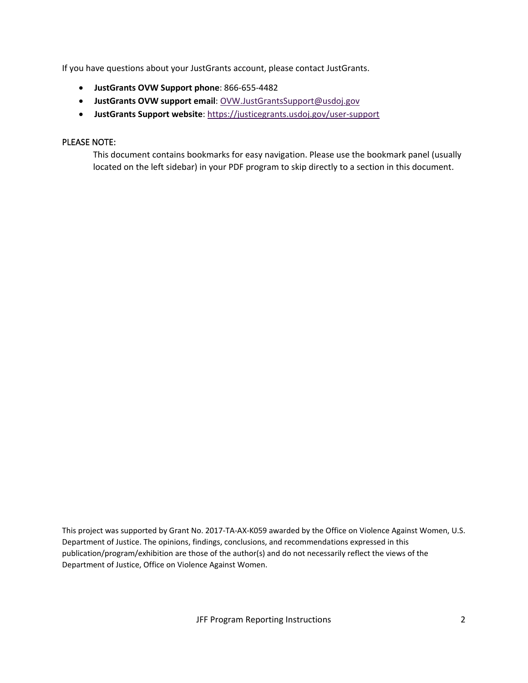If you have questions about your JustGrants account, please contact JustGrants.

- **JustGrants OVW Support phone**: 866-655-4482
- **JustGrants OVW support email**: [OVW.JustGrantsSupport@usdoj.gov](mailto:OVW.JustGrantsSupport@usdoj.gov)
- **JustGrants Support website**[: https://justicegrants.usdoj.gov/user-support](https://justicegrants.usdoj.gov/user-support)

### PLEASE NOTE:

This document contains bookmarks for easy navigation. Please use the bookmark panel (usually located on the left sidebar) in your PDF program to skip directly to a section in this document.

This project was supported by Grant No. 2017-TA-AX-K059 awarded by the Office on Violence Against Women, U.S. Department of Justice. The opinions, findings, conclusions, and recommendations expressed in this publication/program/exhibition are those of the author(s) and do not necessarily reflect the views of the Department of Justice, Office on Violence Against Women.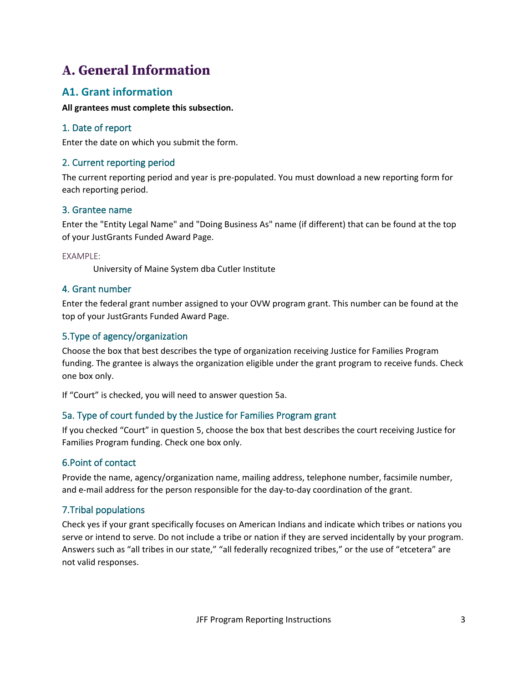# **A. General Information**

# **A1. Grant information**

### **All grantees must complete this subsection.**

## 1. Date of report

Enter the date on which you submit the form.

## 2. Current reporting period

The current reporting period and year is pre-populated. You must download a new reporting form for each reporting period.

### 3. Grantee name

Enter the "Entity Legal Name" and "Doing Business As" name (if different) that can be found at the top of your JustGrants Funded Award Page.

EXAMPLE:

University of Maine System dba Cutler Institute

## 4. Grant number

Enter the federal grant number assigned to your OVW program grant. This number can be found at the top of your JustGrants Funded Award Page.

## 5.Type of agency/organization

Choose the box that best describes the type of organization receiving Justice for Families Program funding. The grantee is always the organization eligible under the grant program to receive funds. Check one box only.

If "Court" is checked, you will need to answer question 5a.

## 5a. Type of court funded by the Justice for Families Program grant

If you checked "Court" in question 5, choose the box that best describes the court receiving Justice for Families Program funding. Check one box only.

## 6.Point of contact

Provide the name, agency/organization name, mailing address, telephone number, facsimile number, and e-mail address for the person responsible for the day-to-day coordination of the grant.

## 7.Tribal populations

Check yes if your grant specifically focuses on American Indians and indicate which tribes or nations you serve or intend to serve. Do not include a tribe or nation if they are served incidentally by your program. Answers such as "all tribes in our state," "all federally recognized tribes," or the use of "etcetera" are not valid responses.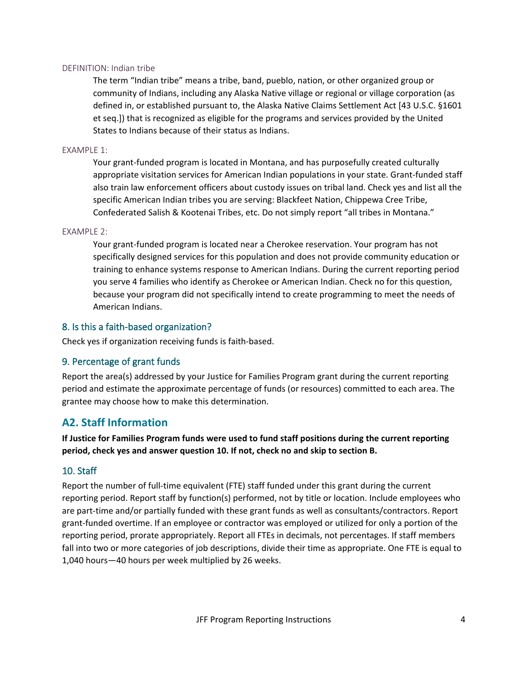### DEFINITION: Indian tribe

The term "Indian tribe" means a tribe, band, pueblo, nation, or other organized group or community of Indians, including any Alaska Native village or regional or village corporation (as defined in, or established pursuant to, the Alaska Native Claims Settlement Act [43 U.S.C. §1601 et seq.]) that is recognized as eligible for the programs and services provided by the United States to Indians because of their status as Indians.

### EXAMPLE 1:

Your grant-funded program is located in Montana, and has purposefully created culturally appropriate visitation services for American Indian populations in your state. Grant-funded staff also train law enforcement officers about custody issues on tribal land. Check yes and list all the specific American Indian tribes you are serving: Blackfeet Nation, Chippewa Cree Tribe, Confederated Salish & Kootenai Tribes, etc. Do not simply report "all tribes in Montana."

### EXAMPLE 2:

Your grant-funded program is located near a Cherokee reservation. Your program has not specifically designed services for this population and does not provide community education or training to enhance systems response to American Indians. During the current reporting period you serve 4 families who identify as Cherokee or American Indian. Check no for this question, because your program did not specifically intend to create programming to meet the needs of American Indians.

### 8. Is this a faith-based organization?

Check yes if organization receiving funds is faith-based.

### 9. Percentage of grant funds

Report the area(s) addressed by your Justice for Families Program grant during the current reporting period and estimate the approximate percentage of funds (or resources) committed to each area. The grantee may choose how to make this determination.

## **A2. Staff Information**

**If Justice for Families Program funds were used to fund staff positions during the current reporting period, check yes and answer question 10. If not, check no and skip to section B.**

### 10. Staff

Report the number of full-time equivalent (FTE) staff funded under this grant during the current reporting period. Report staff by function(s) performed, not by title or location. Include employees who are part-time and/or partially funded with these grant funds as well as consultants/contractors. Report grant-funded overtime. If an employee or contractor was employed or utilized for only a portion of the reporting period, prorate appropriately. Report all FTEs in decimals, not percentages. If staff members fall into two or more categories of job descriptions, divide their time as appropriate. One FTE is equal to 1,040 hours—40 hours per week multiplied by 26 weeks.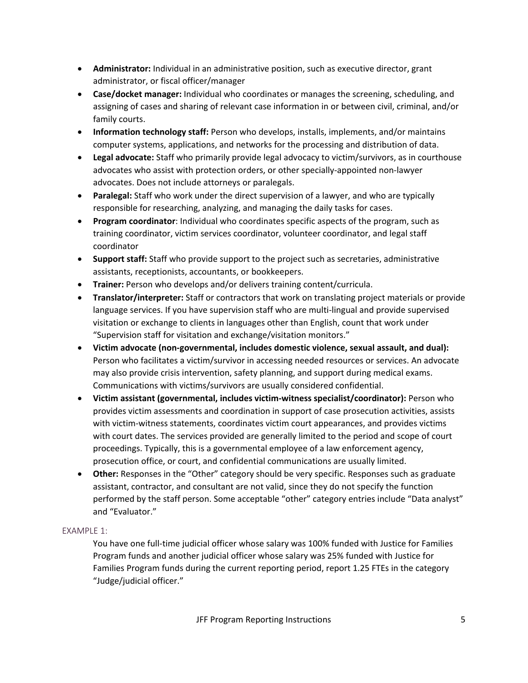- **Administrator:** Individual in an administrative position, such as executive director, grant administrator, or fiscal officer/manager
- **Case/docket manager:** Individual who coordinates or manages the screening, scheduling, and assigning of cases and sharing of relevant case information in or between civil, criminal, and/or family courts.
- **Information technology staff:** Person who develops, installs, implements, and/or maintains computer systems, applications, and networks for the processing and distribution of data.
- **Legal advocate:** Staff who primarily provide legal advocacy to victim/survivors, as in courthouse advocates who assist with protection orders, or other specially-appointed non-lawyer advocates. Does not include attorneys or paralegals.
- **Paralegal:** Staff who work under the direct supervision of a lawyer, and who are typically responsible for researching, analyzing, and managing the daily tasks for cases.
- **Program coordinator**: Individual who coordinates specific aspects of the program, such as training coordinator, victim services coordinator, volunteer coordinator, and legal staff coordinator
- **Support staff:** Staff who provide support to the project such as secretaries, administrative assistants, receptionists, accountants, or bookkeepers.
- **Trainer:** Person who develops and/or delivers training content/curricula.
- **Translator/interpreter:** Staff or contractors that work on translating project materials or provide language services. If you have supervision staff who are multi-lingual and provide supervised visitation or exchange to clients in languages other than English, count that work under "Supervision staff for visitation and exchange/visitation monitors."
- **Victim advocate (non-governmental, includes domestic violence, sexual assault, and dual):** Person who facilitates a victim/survivor in accessing needed resources or services. An advocate may also provide crisis intervention, safety planning, and support during medical exams. Communications with victims/survivors are usually considered confidential.
- **Victim assistant (governmental, includes victim-witness specialist/coordinator):** Person who provides victim assessments and coordination in support of case prosecution activities, assists with victim-witness statements, coordinates victim court appearances, and provides victims with court dates. The services provided are generally limited to the period and scope of court proceedings. Typically, this is a governmental employee of a law enforcement agency, prosecution office, or court, and confidential communications are usually limited.
- **Other:** Responses in the "Other" category should be very specific. Responses such as graduate assistant, contractor, and consultant are not valid, since they do not specify the function performed by the staff person. Some acceptable "other" category entries include "Data analyst" and "Evaluator."

## EXAMPLE 1:

You have one full-time judicial officer whose salary was 100% funded with Justice for Families Program funds and another judicial officer whose salary was 25% funded with Justice for Families Program funds during the current reporting period, report 1.25 FTEs in the category "Judge/judicial officer."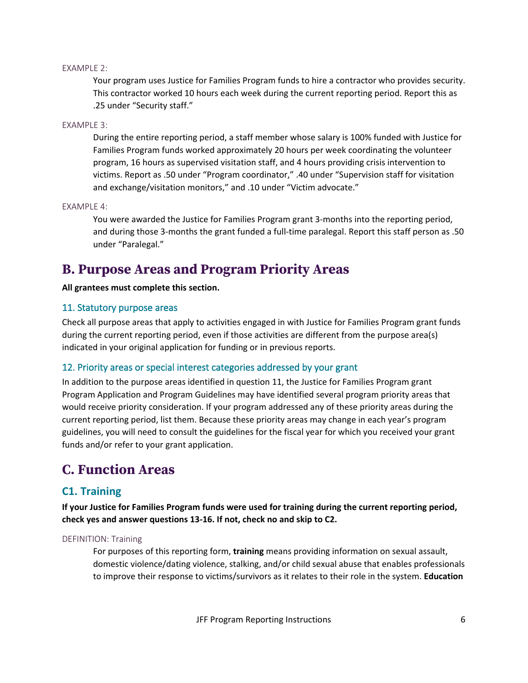### EXAMPLE 2:

Your program uses Justice for Families Program funds to hire a contractor who provides security. This contractor worked 10 hours each week during the current reporting period. Report this as .25 under "Security staff."

### EXAMPLE 3:

During the entire reporting period, a staff member whose salary is 100% funded with Justice for Families Program funds worked approximately 20 hours per week coordinating the volunteer program, 16 hours as supervised visitation staff, and 4 hours providing crisis intervention to victims. Report as .50 under "Program coordinator," .40 under "Supervision staff for visitation and exchange/visitation monitors," and .10 under "Victim advocate."

### EXAMPLE 4:

You were awarded the Justice for Families Program grant 3-months into the reporting period, and during those 3-months the grant funded a full-time paralegal. Report this staff person as .50 under "Paralegal."

# **B. Purpose Areas and Program Priority Areas**

### **All grantees must complete this section.**

### 11. Statutory purpose areas

Check all purpose areas that apply to activities engaged in with Justice for Families Program grant funds during the current reporting period, even if those activities are different from the purpose area(s) indicated in your original application for funding or in previous reports.

### 12. Priority areas or special interest categories addressed by your grant

In addition to the purpose areas identified in question 11, the Justice for Families Program grant Program Application and Program Guidelines may have identified several program priority areas that would receive priority consideration. If your program addressed any of these priority areas during the current reporting period, list them. Because these priority areas may change in each year's program guidelines, you will need to consult the guidelines for the fiscal year for which you received your grant funds and/or refer to your grant application.

# **C. Function Areas**

## **C1. Training**

**If your Justice for Families Program funds were used for training during the current reporting period, check yes and answer questions 13-16. If not, check no and skip to C2.**

### DEFINITION: Training

For purposes of this reporting form, **training** means providing information on sexual assault, domestic violence/dating violence, stalking, and/or child sexual abuse that enables professionals to improve their response to victims/survivors as it relates to their role in the system. **Education**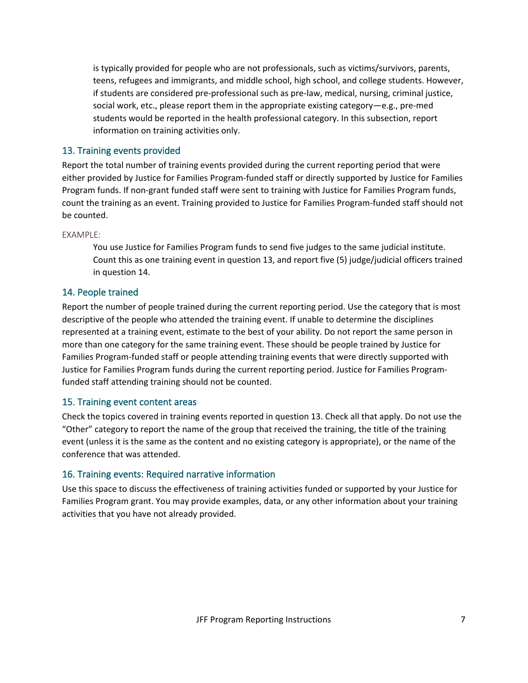is typically provided for people who are not professionals, such as victims/survivors, parents, teens, refugees and immigrants, and middle school, high school, and college students. However, if students are considered pre-professional such as pre-law, medical, nursing, criminal justice, social work, etc., please report them in the appropriate existing category—e.g., pre-med students would be reported in the health professional category. In this subsection, report information on training activities only.

## 13. Training events provided

Report the total number of training events provided during the current reporting period that were either provided by Justice for Families Program-funded staff or directly supported by Justice for Families Program funds. If non-grant funded staff were sent to training with Justice for Families Program funds, count the training as an event. Training provided to Justice for Families Program-funded staff should not be counted.

### EXAMPLE:

You use Justice for Families Program funds to send five judges to the same judicial institute. Count this as one training event in question 13, and report five (5) judge/judicial officers trained in question 14.

## 14. People trained

Report the number of people trained during the current reporting period. Use the category that is most descriptive of the people who attended the training event. If unable to determine the disciplines represented at a training event, estimate to the best of your ability. Do not report the same person in more than one category for the same training event. These should be people trained by Justice for Families Program-funded staff or people attending training events that were directly supported with Justice for Families Program funds during the current reporting period. Justice for Families Programfunded staff attending training should not be counted.

### 15. Training event content areas

Check the topics covered in training events reported in question 13. Check all that apply. Do not use the "Other" category to report the name of the group that received the training, the title of the training event (unless it is the same as the content and no existing category is appropriate), or the name of the conference that was attended.

## 16. Training events: Required narrative information

Use this space to discuss the effectiveness of training activities funded or supported by your Justice for Families Program grant. You may provide examples, data, or any other information about your training activities that you have not already provided.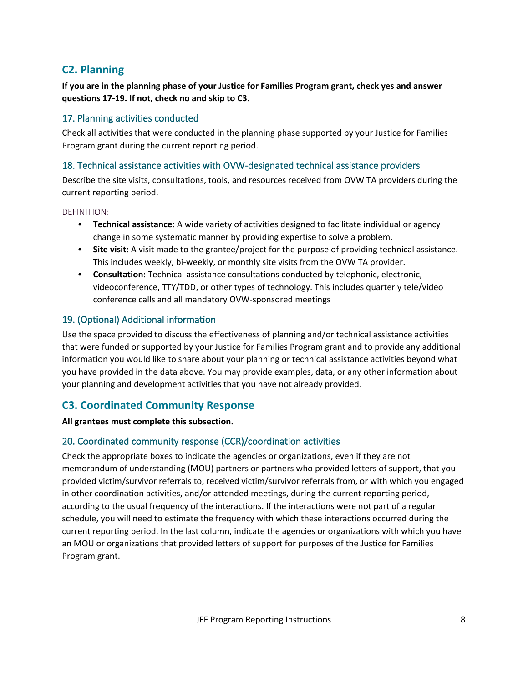# **C2. Planning**

**If you are in the planning phase of your Justice for Families Program grant, check yes and answer questions 17-19. If not, check no and skip to C3.**

## 17. Planning activities conducted

Check all activities that were conducted in the planning phase supported by your Justice for Families Program grant during the current reporting period.

## 18. Technical assistance activities with OVW-designated technical assistance providers

Describe the site visits, consultations, tools, and resources received from OVW TA providers during the current reporting period.

### DEFINITION:

- **Technical assistance:** A wide variety of activities designed to facilitate individual or agency change in some systematic manner by providing expertise to solve a problem.
- **Site visit:** A visit made to the grantee/project for the purpose of providing technical assistance. This includes weekly, bi-weekly, or monthly site visits from the OVW TA provider.
- **Consultation:** Technical assistance consultations conducted by telephonic, electronic, videoconference, TTY/TDD, or other types of technology. This includes quarterly tele/video conference calls and all mandatory OVW-sponsored meetings

## 19. (Optional) Additional information

Use the space provided to discuss the effectiveness of planning and/or technical assistance activities that were funded or supported by your Justice for Families Program grant and to provide any additional information you would like to share about your planning or technical assistance activities beyond what you have provided in the data above. You may provide examples, data, or any other information about your planning and development activities that you have not already provided.

# **C3. Coordinated Community Response**

### **All grantees must complete this subsection.**

## 20. Coordinated community response (CCR)/coordination activities

Check the appropriate boxes to indicate the agencies or organizations, even if they are not memorandum of understanding (MOU) partners or partners who provided letters of support, that you provided victim/survivor referrals to, received victim/survivor referrals from, or with which you engaged in other coordination activities, and/or attended meetings, during the current reporting period, according to the usual frequency of the interactions. If the interactions were not part of a regular schedule, you will need to estimate the frequency with which these interactions occurred during the current reporting period. In the last column, indicate the agencies or organizations with which you have an MOU or organizations that provided letters of support for purposes of the Justice for Families Program grant.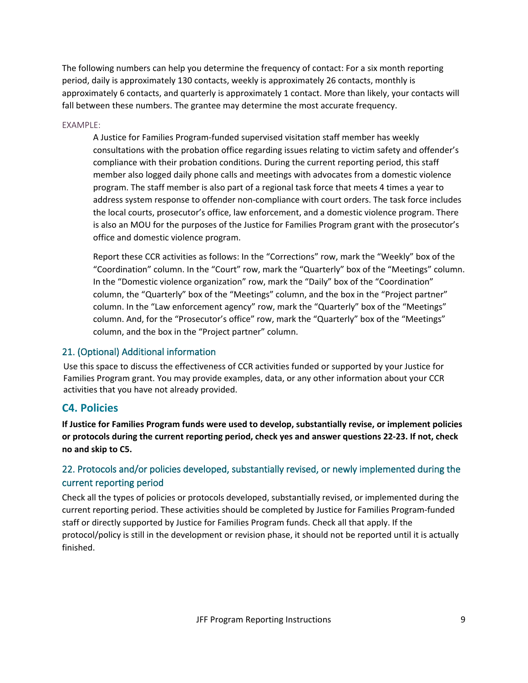The following numbers can help you determine the frequency of contact: For a six month reporting period, daily is approximately 130 contacts, weekly is approximately 26 contacts, monthly is approximately 6 contacts, and quarterly is approximately 1 contact. More than likely, your contacts will fall between these numbers. The grantee may determine the most accurate frequency.

### EXAMPLE:

A Justice for Families Program-funded supervised visitation staff member has weekly consultations with the probation office regarding issues relating to victim safety and offender's compliance with their probation conditions. During the current reporting period, this staff member also logged daily phone calls and meetings with advocates from a domestic violence program. The staff member is also part of a regional task force that meets 4 times a year to address system response to offender non-compliance with court orders. The task force includes the local courts, prosecutor's office, law enforcement, and a domestic violence program. There is also an MOU for the purposes of the Justice for Families Program grant with the prosecutor's office and domestic violence program.

Report these CCR activities as follows: In the "Corrections" row, mark the "Weekly" box of the "Coordination" column. In the "Court" row, mark the "Quarterly" box of the "Meetings" column. In the "Domestic violence organization" row, mark the "Daily" box of the "Coordination" column, the "Quarterly" box of the "Meetings" column, and the box in the "Project partner" column. In the "Law enforcement agency" row, mark the "Quarterly" box of the "Meetings" column. And, for the "Prosecutor's office" row, mark the "Quarterly" box of the "Meetings" column, and the box in the "Project partner" column.

### 21. (Optional) Additional information

Use this space to discuss the effectiveness of CCR activities funded or supported by your Justice for Families Program grant. You may provide examples, data, or any other information about your CCR activities that you have not already provided.

## **C4. Policies**

**If Justice for Families Program funds were used to develop, substantially revise, or implement policies or protocols during the current reporting period, check yes and answer questions 22-23. If not, check no and skip to C5.**

## 22. Protocols and/or policies developed, substantially revised, or newly implemented during the current reporting period

Check all the types of policies or protocols developed, substantially revised, or implemented during the current reporting period. These activities should be completed by Justice for Families Program-funded staff or directly supported by Justice for Families Program funds. Check all that apply. If the protocol/policy is still in the development or revision phase, it should not be reported until it is actually finished.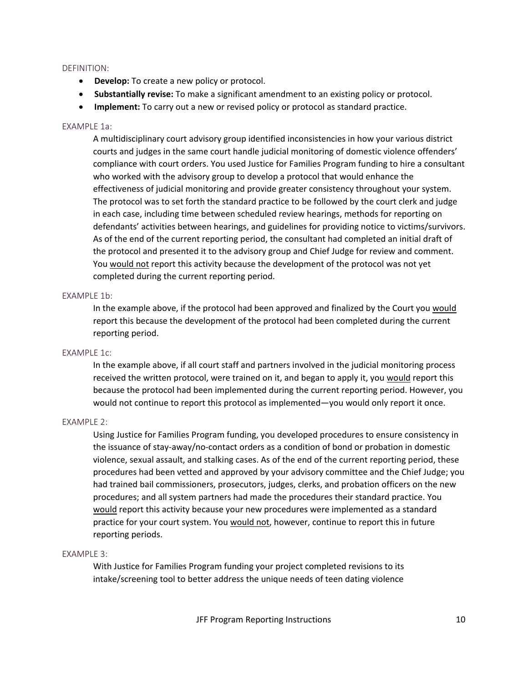### DEFINITION:

- **Develop:** To create a new policy or protocol.
- **Substantially revise:** To make a significant amendment to an existing policy or protocol.
- **Implement:** To carry out a new or revised policy or protocol as standard practice.

### EXAMPLE 1a:

A multidisciplinary court advisory group identified inconsistencies in how your various district courts and judges in the same court handle judicial monitoring of domestic violence offenders' compliance with court orders. You used Justice for Families Program funding to hire a consultant who worked with the advisory group to develop a protocol that would enhance the effectiveness of judicial monitoring and provide greater consistency throughout your system. The protocol was to set forth the standard practice to be followed by the court clerk and judge in each case, including time between scheduled review hearings, methods for reporting on defendants' activities between hearings, and guidelines for providing notice to victims/survivors. As of the end of the current reporting period, the consultant had completed an initial draft of the protocol and presented it to the advisory group and Chief Judge for review and comment. You would not report this activity because the development of the protocol was not yet completed during the current reporting period.

### EXAMPLE 1b:

In the example above, if the protocol had been approved and finalized by the Court you would report this because the development of the protocol had been completed during the current reporting period.

### EXAMPLE 1c:

In the example above, if all court staff and partners involved in the judicial monitoring process received the written protocol, were trained on it, and began to apply it, you would report this because the protocol had been implemented during the current reporting period. However, you would not continue to report this protocol as implemented—you would only report it once.

### EXAMPLE 2:

Using Justice for Families Program funding, you developed procedures to ensure consistency in the issuance of stay-away/no-contact orders as a condition of bond or probation in domestic violence, sexual assault, and stalking cases. As of the end of the current reporting period, these procedures had been vetted and approved by your advisory committee and the Chief Judge; you had trained bail commissioners, prosecutors, judges, clerks, and probation officers on the new procedures; and all system partners had made the procedures their standard practice. You would report this activity because your new procedures were implemented as a standard practice for your court system. You would not, however, continue to report this in future reporting periods.

### EXAMPLE 3:

With Justice for Families Program funding your project completed revisions to its intake/screening tool to better address the unique needs of teen dating violence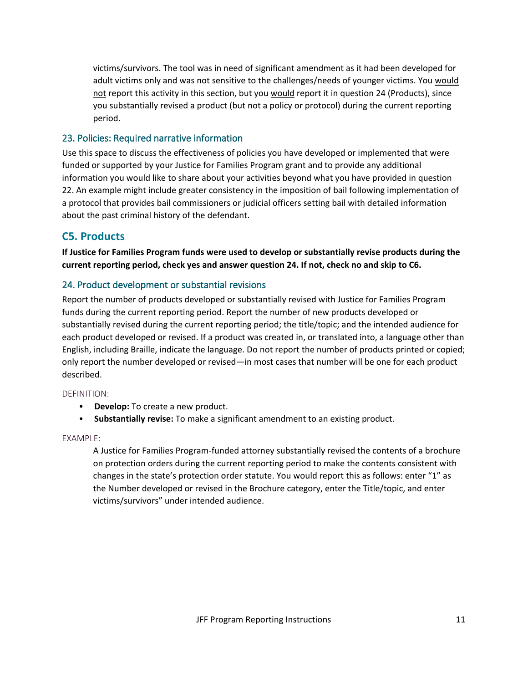victims/survivors. The tool was in need of significant amendment as it had been developed for adult victims only and was not sensitive to the challenges/needs of younger victims. You would not report this activity in this section, but you would report it in question 24 (Products), since you substantially revised a product (but not a policy or protocol) during the current reporting period.

## 23. Policies: Required narrative information

Use this space to discuss the effectiveness of policies you have developed or implemented that were funded or supported by your Justice for Families Program grant and to provide any additional information you would like to share about your activities beyond what you have provided in question 22. An example might include greater consistency in the imposition of bail following implementation of a protocol that provides bail commissioners or judicial officers setting bail with detailed information about the past criminal history of the defendant.

# **C5. Products**

**If Justice for Families Program funds were used to develop or substantially revise products during the current reporting period, check yes and answer question 24. If not, check no and skip to C6.**

## 24. Product development or substantial revisions

Report the number of products developed or substantially revised with Justice for Families Program funds during the current reporting period. Report the number of new products developed or substantially revised during the current reporting period; the title/topic; and the intended audience for each product developed or revised. If a product was created in, or translated into, a language other than English, including Braille, indicate the language. Do not report the number of products printed or copied; only report the number developed or revised—in most cases that number will be one for each product described.

### DEFINITION:

- **Develop:** To create a new product.
- **Substantially revise:** To make a significant amendment to an existing product.

### EXAMPLE:

A Justice for Families Program-funded attorney substantially revised the contents of a brochure on protection orders during the current reporting period to make the contents consistent with changes in the state's protection order statute. You would report this as follows: enter "1" as the Number developed or revised in the Brochure category, enter the Title/topic, and enter victims/survivors" under intended audience.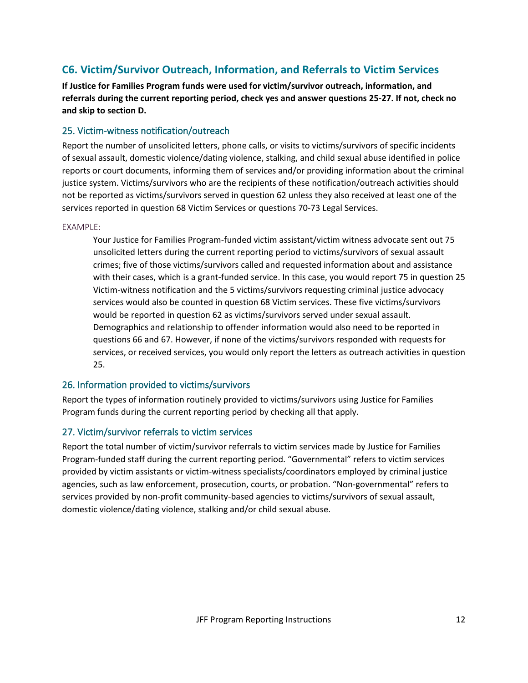# **C6. Victim/Survivor Outreach, Information, and Referrals to Victim Services**

**If Justice for Families Program funds were used for victim/survivor outreach, information, and referrals during the current reporting period, check yes and answer questions 25-27. If not, check no and skip to section D.**

## 25. Victim-witness notification/outreach

Report the number of unsolicited letters, phone calls, or visits to victims/survivors of specific incidents of sexual assault, domestic violence/dating violence, stalking, and child sexual abuse identified in police reports or court documents, informing them of services and/or providing information about the criminal justice system. Victims/survivors who are the recipients of these notification/outreach activities should not be reported as victims/survivors served in question 62 unless they also received at least one of the services reported in question 68 Victim Services or questions 70-73 Legal Services.

### EXAMPLE:

Your Justice for Families Program-funded victim assistant/victim witness advocate sent out 75 unsolicited letters during the current reporting period to victims/survivors of sexual assault crimes; five of those victims/survivors called and requested information about and assistance with their cases, which is a grant-funded service. In this case, you would report 75 in question 25 Victim-witness notification and the 5 victims/survivors requesting criminal justice advocacy services would also be counted in question 68 Victim services. These five victims/survivors would be reported in question 62 as victims/survivors served under sexual assault. Demographics and relationship to offender information would also need to be reported in questions 66 and 67. However, if none of the victims/survivors responded with requests for services, or received services, you would only report the letters as outreach activities in question 25.

### 26. Information provided to victims/survivors

Report the types of information routinely provided to victims/survivors using Justice for Families Program funds during the current reporting period by checking all that apply.

## 27. Victim/survivor referrals to victim services

Report the total number of victim/survivor referrals to victim services made by Justice for Families Program-funded staff during the current reporting period. "Governmental" refers to victim services provided by victim assistants or victim-witness specialists/coordinators employed by criminal justice agencies, such as law enforcement, prosecution, courts, or probation. "Non-governmental" refers to services provided by non-profit community-based agencies to victims/survivors of sexual assault, domestic violence/dating violence, stalking and/or child sexual abuse.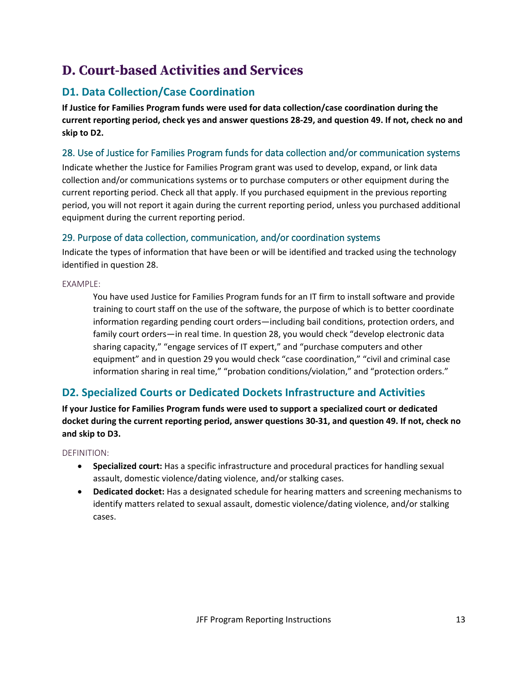# **D. Court-based Activities and Services**

# **D1. Data Collection/Case Coordination**

**If Justice for Families Program funds were used for data collection/case coordination during the current reporting period, check yes and answer questions 28-29, and question 49. If not, check no and skip to D2.**

## 28. Use of Justice for Families Program funds for data collection and/or communication systems

Indicate whether the Justice for Families Program grant was used to develop, expand, or link data collection and/or communications systems or to purchase computers or other equipment during the current reporting period. Check all that apply. If you purchased equipment in the previous reporting period, you will not report it again during the current reporting period, unless you purchased additional equipment during the current reporting period.

## 29. Purpose of data collection, communication, and/or coordination systems

Indicate the types of information that have been or will be identified and tracked using the technology identified in question 28.

## EXAMPLE:

You have used Justice for Families Program funds for an IT firm to install software and provide training to court staff on the use of the software, the purpose of which is to better coordinate information regarding pending court orders—including bail conditions, protection orders, and family court orders—in real time. In question 28, you would check "develop electronic data sharing capacity," "engage services of IT expert," and "purchase computers and other equipment" and in question 29 you would check "case coordination," "civil and criminal case information sharing in real time," "probation conditions/violation," and "protection orders."

# **D2. Specialized Courts or Dedicated Dockets Infrastructure and Activities**

**If your Justice for Families Program funds were used to support a specialized court or dedicated docket during the current reporting period, answer questions 30-31, and question 49. If not, check no and skip to D3.**

### DEFINITION:

- **Specialized court:** Has a specific infrastructure and procedural practices for handling sexual assault, domestic violence/dating violence, and/or stalking cases.
- **Dedicated docket:** Has a designated schedule for hearing matters and screening mechanisms to identify matters related to sexual assault, domestic violence/dating violence, and/or stalking cases.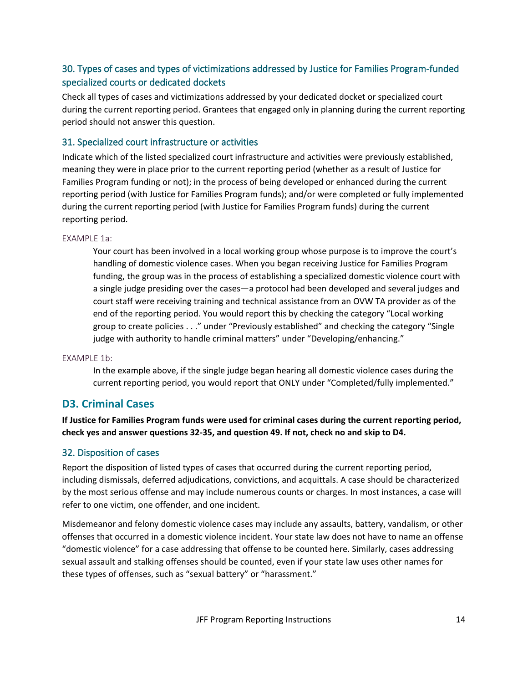## 30. Types of cases and types of victimizations addressed by Justice for Families Program-funded specialized courts or dedicated dockets

Check all types of cases and victimizations addressed by your dedicated docket or specialized court during the current reporting period. Grantees that engaged only in planning during the current reporting period should not answer this question.

## 31. Specialized court infrastructure or activities

Indicate which of the listed specialized court infrastructure and activities were previously established, meaning they were in place prior to the current reporting period (whether as a result of Justice for Families Program funding or not); in the process of being developed or enhanced during the current reporting period (with Justice for Families Program funds); and/or were completed or fully implemented during the current reporting period (with Justice for Families Program funds) during the current reporting period.

### EXAMPLE 1a:

Your court has been involved in a local working group whose purpose is to improve the court's handling of domestic violence cases. When you began receiving Justice for Families Program funding, the group was in the process of establishing a specialized domestic violence court with a single judge presiding over the cases—a protocol had been developed and several judges and court staff were receiving training and technical assistance from an OVW TA provider as of the end of the reporting period. You would report this by checking the category "Local working group to create policies . . ." under "Previously established" and checking the category "Single judge with authority to handle criminal matters" under "Developing/enhancing."

### EXAMPLE 1b:

In the example above, if the single judge began hearing all domestic violence cases during the current reporting period, you would report that ONLY under "Completed/fully implemented."

## **D3. Criminal Cases**

**If Justice for Families Program funds were used for criminal cases during the current reporting period, check yes and answer questions 32-35, and question 49. If not, check no and skip to D4.**

## 32. Disposition of cases

Report the disposition of listed types of cases that occurred during the current reporting period, including dismissals, deferred adjudications, convictions, and acquittals. A case should be characterized by the most serious offense and may include numerous counts or charges. In most instances, a case will refer to one victim, one offender, and one incident.

Misdemeanor and felony domestic violence cases may include any assaults, battery, vandalism, or other offenses that occurred in a domestic violence incident. Your state law does not have to name an offense "domestic violence" for a case addressing that offense to be counted here. Similarly, cases addressing sexual assault and stalking offenses should be counted, even if your state law uses other names for these types of offenses, such as "sexual battery" or "harassment."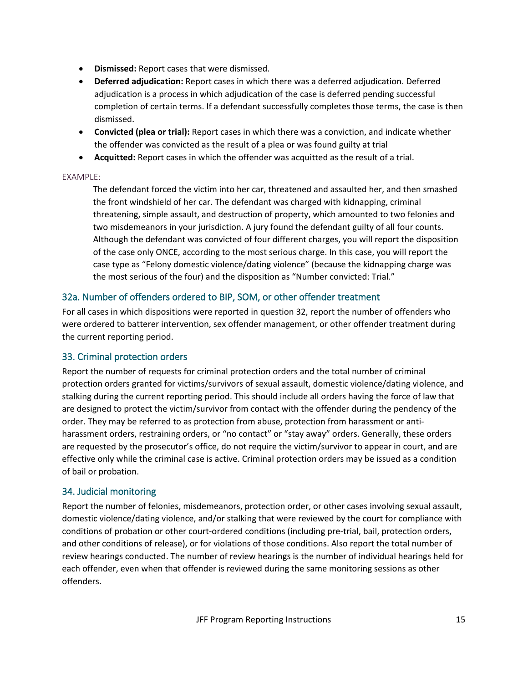- **Dismissed:** Report cases that were dismissed.
- **Deferred adjudication:** Report cases in which there was a deferred adjudication. Deferred adjudication is a process in which adjudication of the case is deferred pending successful completion of certain terms. If a defendant successfully completes those terms, the case is then dismissed.
- **Convicted (plea or trial):** Report cases in which there was a conviction, and indicate whether the offender was convicted as the result of a plea or was found guilty at trial
- **Acquitted:** Report cases in which the offender was acquitted as the result of a trial.

### EXAMPLE:

The defendant forced the victim into her car, threatened and assaulted her, and then smashed the front windshield of her car. The defendant was charged with kidnapping, criminal threatening, simple assault, and destruction of property, which amounted to two felonies and two misdemeanors in your jurisdiction. A jury found the defendant guilty of all four counts. Although the defendant was convicted of four different charges, you will report the disposition of the case only ONCE, according to the most serious charge. In this case, you will report the case type as "Felony domestic violence/dating violence" (because the kidnapping charge was the most serious of the four) and the disposition as "Number convicted: Trial."

## 32a. Number of offenders ordered to BIP, SOM, or other offender treatment

For all cases in which dispositions were reported in question 32, report the number of offenders who were ordered to batterer intervention, sex offender management, or other offender treatment during the current reporting period.

## 33. Criminal protection orders

Report the number of requests for criminal protection orders and the total number of criminal protection orders granted for victims/survivors of sexual assault, domestic violence/dating violence, and stalking during the current reporting period. This should include all orders having the force of law that are designed to protect the victim/survivor from contact with the offender during the pendency of the order. They may be referred to as protection from abuse, protection from harassment or antiharassment orders, restraining orders, or "no contact" or "stay away" orders. Generally, these orders are requested by the prosecutor's office, do not require the victim/survivor to appear in court, and are effective only while the criminal case is active. Criminal protection orders may be issued as a condition of bail or probation.

## 34. Judicial monitoring

Report the number of felonies, misdemeanors, protection order, or other cases involving sexual assault, domestic violence/dating violence, and/or stalking that were reviewed by the court for compliance with conditions of probation or other court-ordered conditions (including pre-trial, bail, protection orders, and other conditions of release), or for violations of those conditions. Also report the total number of review hearings conducted. The number of review hearings is the number of individual hearings held for each offender, even when that offender is reviewed during the same monitoring sessions as other offenders.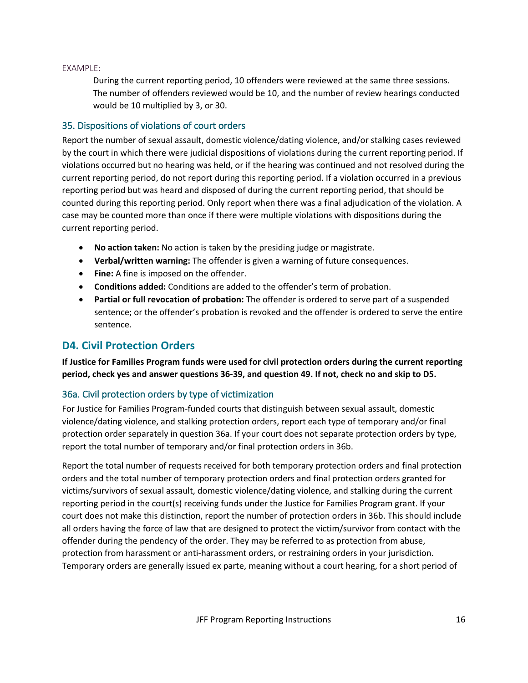### EXAMPLE:

During the current reporting period, 10 offenders were reviewed at the same three sessions. The number of offenders reviewed would be 10, and the number of review hearings conducted would be 10 multiplied by 3, or 30.

### 35. Dispositions of violations of court orders

Report the number of sexual assault, domestic violence/dating violence, and/or stalking cases reviewed by the court in which there were judicial dispositions of violations during the current reporting period. If violations occurred but no hearing was held, or if the hearing was continued and not resolved during the current reporting period, do not report during this reporting period. If a violation occurred in a previous reporting period but was heard and disposed of during the current reporting period, that should be counted during this reporting period. Only report when there was a final adjudication of the violation. A case may be counted more than once if there were multiple violations with dispositions during the current reporting period.

- **No action taken:** No action is taken by the presiding judge or magistrate.
- **Verbal/written warning:** The offender is given a warning of future consequences.
- **Fine:** A fine is imposed on the offender.
- **Conditions added:** Conditions are added to the offender's term of probation.
- **Partial or full revocation of probation:** The offender is ordered to serve part of a suspended sentence; or the offender's probation is revoked and the offender is ordered to serve the entire sentence.

## **D4. Civil Protection Orders**

**If Justice for Families Program funds were used for civil protection orders during the current reporting period, check yes and answer questions 36-39, and question 49. If not, check no and skip to D5.**

## 36a. Civil protection orders by type of victimization

For Justice for Families Program-funded courts that distinguish between sexual assault, domestic violence/dating violence, and stalking protection orders, report each type of temporary and/or final protection order separately in question 36a. If your court does not separate protection orders by type, report the total number of temporary and/or final protection orders in 36b.

Report the total number of requests received for both temporary protection orders and final protection orders and the total number of temporary protection orders and final protection orders granted for victims/survivors of sexual assault, domestic violence/dating violence, and stalking during the current reporting period in the court(s) receiving funds under the Justice for Families Program grant. If your court does not make this distinction, report the number of protection orders in 36b. This should include all orders having the force of law that are designed to protect the victim/survivor from contact with the offender during the pendency of the order. They may be referred to as protection from abuse, protection from harassment or anti-harassment orders, or restraining orders in your jurisdiction. Temporary orders are generally issued ex parte, meaning without a court hearing, for a short period of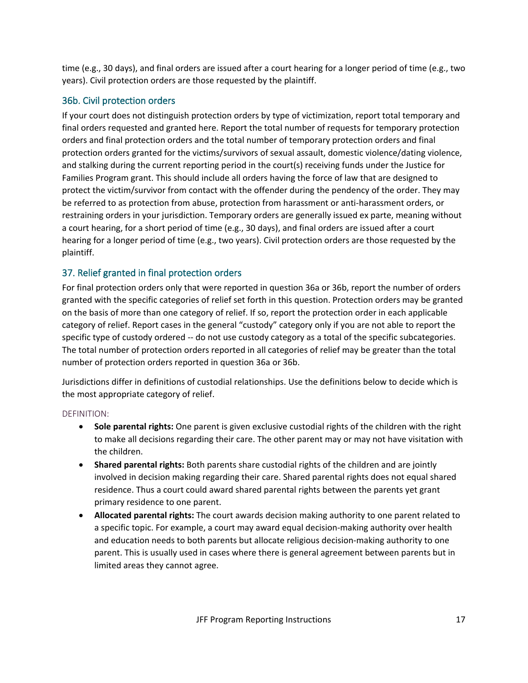time (e.g., 30 days), and final orders are issued after a court hearing for a longer period of time (e.g., two years). Civil protection orders are those requested by the plaintiff.

## 36b. Civil protection orders

If your court does not distinguish protection orders by type of victimization, report total temporary and final orders requested and granted here. Report the total number of requests for temporary protection orders and final protection orders and the total number of temporary protection orders and final protection orders granted for the victims/survivors of sexual assault, domestic violence/dating violence, and stalking during the current reporting period in the court(s) receiving funds under the Justice for Families Program grant. This should include all orders having the force of law that are designed to protect the victim/survivor from contact with the offender during the pendency of the order. They may be referred to as protection from abuse, protection from harassment or anti-harassment orders, or restraining orders in your jurisdiction. Temporary orders are generally issued ex parte, meaning without a court hearing, for a short period of time (e.g., 30 days), and final orders are issued after a court hearing for a longer period of time (e.g., two years). Civil protection orders are those requested by the plaintiff.

## 37. Relief granted in final protection orders

For final protection orders only that were reported in question 36a or 36b, report the number of orders granted with the specific categories of relief set forth in this question. Protection orders may be granted on the basis of more than one category of relief. If so, report the protection order in each applicable category of relief. Report cases in the general "custody" category only if you are not able to report the specific type of custody ordered -- do not use custody category as a total of the specific subcategories. The total number of protection orders reported in all categories of relief may be greater than the total number of protection orders reported in question 36a or 36b.

Jurisdictions differ in definitions of custodial relationships. Use the definitions below to decide which is the most appropriate category of relief.

### DEFINITION:

- **Sole parental rights:** One parent is given exclusive custodial rights of the children with the right to make all decisions regarding their care. The other parent may or may not have visitation with the children.
- **Shared parental rights:** Both parents share custodial rights of the children and are jointly involved in decision making regarding their care. Shared parental rights does not equal shared residence. Thus a court could award shared parental rights between the parents yet grant primary residence to one parent.
- **Allocated parental rights:** The court awards decision making authority to one parent related to a specific topic. For example, a court may award equal decision-making authority over health and education needs to both parents but allocate religious decision-making authority to one parent. This is usually used in cases where there is general agreement between parents but in limited areas they cannot agree.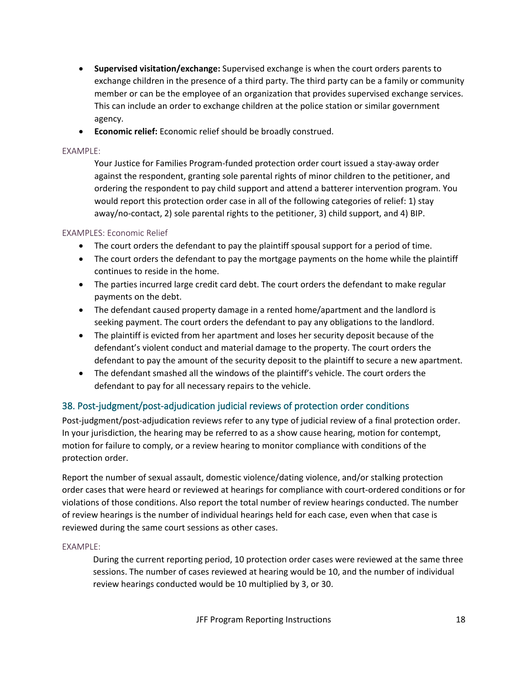- **Supervised visitation/exchange:** Supervised exchange is when the court orders parents to exchange children in the presence of a third party. The third party can be a family or community member or can be the employee of an organization that provides supervised exchange services. This can include an order to exchange children at the police station or similar government agency.
- **Economic relief:** Economic relief should be broadly construed.

### EXAMPLE:

Your Justice for Families Program-funded protection order court issued a stay-away order against the respondent, granting sole parental rights of minor children to the petitioner, and ordering the respondent to pay child support and attend a batterer intervention program. You would report this protection order case in all of the following categories of relief: 1) stay away/no-contact, 2) sole parental rights to the petitioner, 3) child support, and 4) BIP.

### EXAMPLES: Economic Relief

- The court orders the defendant to pay the plaintiff spousal support for a period of time.
- The court orders the defendant to pay the mortgage payments on the home while the plaintiff continues to reside in the home.
- The parties incurred large credit card debt. The court orders the defendant to make regular payments on the debt.
- The defendant caused property damage in a rented home/apartment and the landlord is seeking payment. The court orders the defendant to pay any obligations to the landlord.
- The plaintiff is evicted from her apartment and loses her security deposit because of the defendant's violent conduct and material damage to the property. The court orders the defendant to pay the amount of the security deposit to the plaintiff to secure a new apartment.
- The defendant smashed all the windows of the plaintiff's vehicle. The court orders the defendant to pay for all necessary repairs to the vehicle.

## 38. Post-judgment/post-adjudication judicial reviews of protection order conditions

Post-judgment/post-adjudication reviews refer to any type of judicial review of a final protection order. In your jurisdiction, the hearing may be referred to as a show cause hearing, motion for contempt, motion for failure to comply, or a review hearing to monitor compliance with conditions of the protection order.

Report the number of sexual assault, domestic violence/dating violence, and/or stalking protection order cases that were heard or reviewed at hearings for compliance with court-ordered conditions or for violations of those conditions. Also report the total number of review hearings conducted. The number of review hearings is the number of individual hearings held for each case, even when that case is reviewed during the same court sessions as other cases.

### EXAMPLE:

During the current reporting period, 10 protection order cases were reviewed at the same three sessions. The number of cases reviewed at hearing would be 10, and the number of individual review hearings conducted would be 10 multiplied by 3, or 30.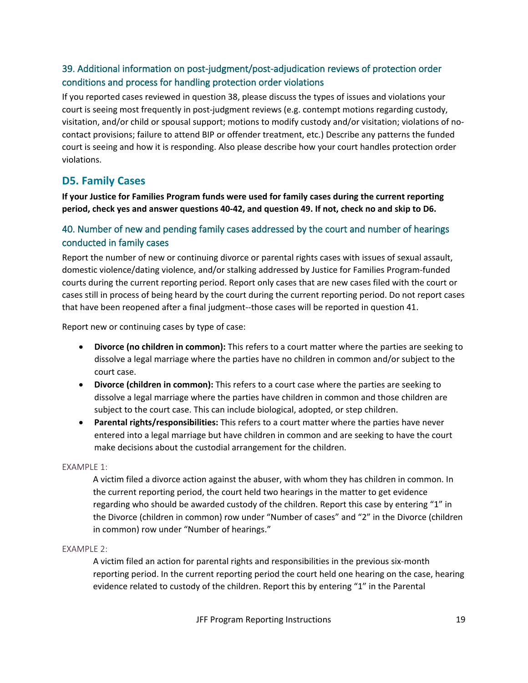## 39. Additional information on post-judgment/post-adjudication reviews of protection order conditions and process for handling protection order violations

If you reported cases reviewed in question 38, please discuss the types of issues and violations your court is seeing most frequently in post-judgment reviews (e.g. contempt motions regarding custody, visitation, and/or child or spousal support; motions to modify custody and/or visitation; violations of nocontact provisions; failure to attend BIP or offender treatment, etc.) Describe any patterns the funded court is seeing and how it is responding. Also please describe how your court handles protection order violations.

## **D5. Family Cases**

**If your Justice for Families Program funds were used for family cases during the current reporting period, check yes and answer questions 40-42, and question 49. If not, check no and skip to D6.**

## 40. Number of new and pending family cases addressed by the court and number of hearings conducted in family cases

Report the number of new or continuing divorce or parental rights cases with issues of sexual assault, domestic violence/dating violence, and/or stalking addressed by Justice for Families Program-funded courts during the current reporting period. Report only cases that are new cases filed with the court or cases still in process of being heard by the court during the current reporting period. Do not report cases that have been reopened after a final judgment--those cases will be reported in question 41.

Report new or continuing cases by type of case:

- **Divorce (no children in common):** This refers to a court matter where the parties are seeking to dissolve a legal marriage where the parties have no children in common and/or subject to the court case.
- **Divorce (children in common):** This refers to a court case where the parties are seeking to dissolve a legal marriage where the parties have children in common and those children are subject to the court case. This can include biological, adopted, or step children.
- **Parental rights/responsibilities:** This refers to a court matter where the parties have never entered into a legal marriage but have children in common and are seeking to have the court make decisions about the custodial arrangement for the children.

### EXAMPLE 1:

A victim filed a divorce action against the abuser, with whom they has children in common. In the current reporting period, the court held two hearings in the matter to get evidence regarding who should be awarded custody of the children. Report this case by entering "1" in the Divorce (children in common) row under "Number of cases" and "2" in the Divorce (children in common) row under "Number of hearings."

### EXAMPLE 2:

A victim filed an action for parental rights and responsibilities in the previous six-month reporting period. In the current reporting period the court held one hearing on the case, hearing evidence related to custody of the children. Report this by entering "1" in the Parental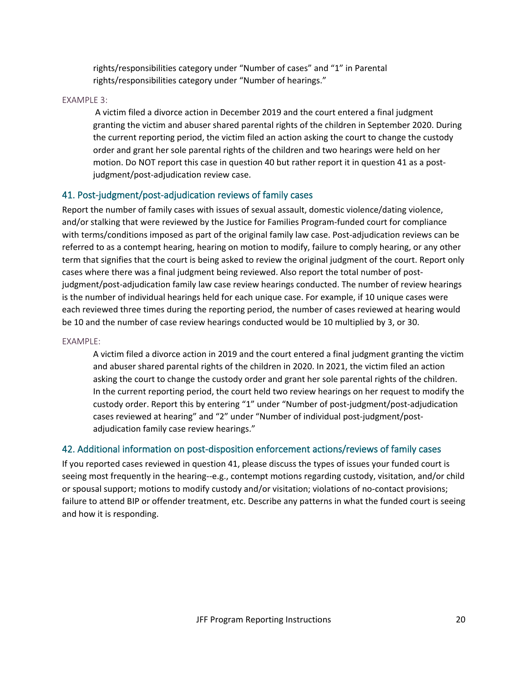rights/responsibilities category under "Number of cases" and "1" in Parental rights/responsibilities category under "Number of hearings."

### EXAMPLE 3:

A victim filed a divorce action in December 2019 and the court entered a final judgment granting the victim and abuser shared parental rights of the children in September 2020. During the current reporting period, the victim filed an action asking the court to change the custody order and grant her sole parental rights of the children and two hearings were held on her motion. Do NOT report this case in question 40 but rather report it in question 41 as a postjudgment/post-adjudication review case.

## 41. Post-judgment/post-adjudication reviews of family cases

Report the number of family cases with issues of sexual assault, domestic violence/dating violence, and/or stalking that were reviewed by the Justice for Families Program-funded court for compliance with terms/conditions imposed as part of the original family law case. Post-adjudication reviews can be referred to as a contempt hearing, hearing on motion to modify, failure to comply hearing, or any other term that signifies that the court is being asked to review the original judgment of the court. Report only cases where there was a final judgment being reviewed. Also report the total number of postjudgment/post-adjudication family law case review hearings conducted. The number of review hearings is the number of individual hearings held for each unique case. For example, if 10 unique cases were each reviewed three times during the reporting period, the number of cases reviewed at hearing would be 10 and the number of case review hearings conducted would be 10 multiplied by 3, or 30.

### EXAMPLE:

A victim filed a divorce action in 2019 and the court entered a final judgment granting the victim and abuser shared parental rights of the children in 2020. In 2021, the victim filed an action asking the court to change the custody order and grant her sole parental rights of the children. In the current reporting period, the court held two review hearings on her request to modify the custody order. Report this by entering "1" under "Number of post-judgment/post-adjudication cases reviewed at hearing" and "2" under "Number of individual post-judgment/postadjudication family case review hearings."

### 42. Additional information on post-disposition enforcement actions/reviews of family cases

If you reported cases reviewed in question 41, please discuss the types of issues your funded court is seeing most frequently in the hearing--e.g., contempt motions regarding custody, visitation, and/or child or spousal support; motions to modify custody and/or visitation; violations of no-contact provisions; failure to attend BIP or offender treatment, etc. Describe any patterns in what the funded court is seeing and how it is responding.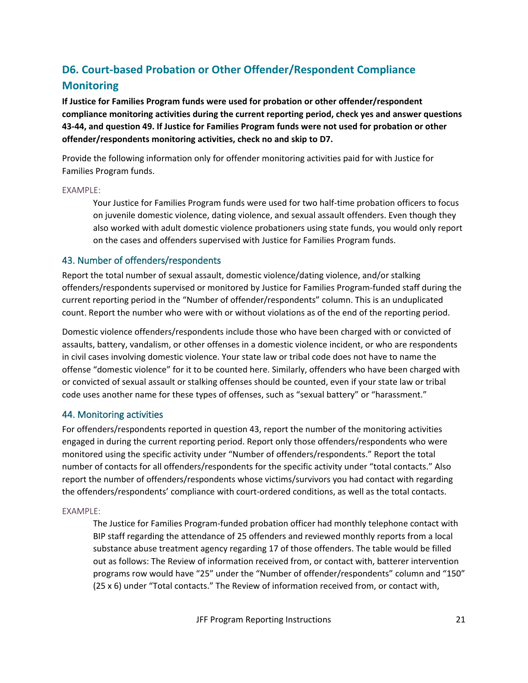# **D6. Court-based Probation or Other Offender/Respondent Compliance Monitoring**

**If Justice for Families Program funds were used for probation or other offender/respondent compliance monitoring activities during the current reporting period, check yes and answer questions 43-44, and question 49. If Justice for Families Program funds were not used for probation or other offender/respondents monitoring activities, check no and skip to D7.**

Provide the following information only for offender monitoring activities paid for with Justice for Families Program funds.

### EXAMPLE:

Your Justice for Families Program funds were used for two half-time probation officers to focus on juvenile domestic violence, dating violence, and sexual assault offenders. Even though they also worked with adult domestic violence probationers using state funds, you would only report on the cases and offenders supervised with Justice for Families Program funds.

### 43. Number of offenders/respondents

Report the total number of sexual assault, domestic violence/dating violence, and/or stalking offenders/respondents supervised or monitored by Justice for Families Program-funded staff during the current reporting period in the "Number of offender/respondents" column. This is an unduplicated count. Report the number who were with or without violations as of the end of the reporting period.

Domestic violence offenders/respondents include those who have been charged with or convicted of assaults, battery, vandalism, or other offenses in a domestic violence incident, or who are respondents in civil cases involving domestic violence. Your state law or tribal code does not have to name the offense "domestic violence" for it to be counted here. Similarly, offenders who have been charged with or convicted of sexual assault or stalking offenses should be counted, even if your state law or tribal code uses another name for these types of offenses, such as "sexual battery" or "harassment."

### 44. Monitoring activities

For offenders/respondents reported in question 43, report the number of the monitoring activities engaged in during the current reporting period. Report only those offenders/respondents who were monitored using the specific activity under "Number of offenders/respondents." Report the total number of contacts for all offenders/respondents for the specific activity under "total contacts." Also report the number of offenders/respondents whose victims/survivors you had contact with regarding the offenders/respondents' compliance with court-ordered conditions, as well as the total contacts.

### EXAMPLE:

The Justice for Families Program-funded probation officer had monthly telephone contact with BIP staff regarding the attendance of 25 offenders and reviewed monthly reports from a local substance abuse treatment agency regarding 17 of those offenders. The table would be filled out as follows: The Review of information received from, or contact with, batterer intervention programs row would have "25" under the "Number of offender/respondents" column and "150" (25 x 6) under "Total contacts." The Review of information received from, or contact with,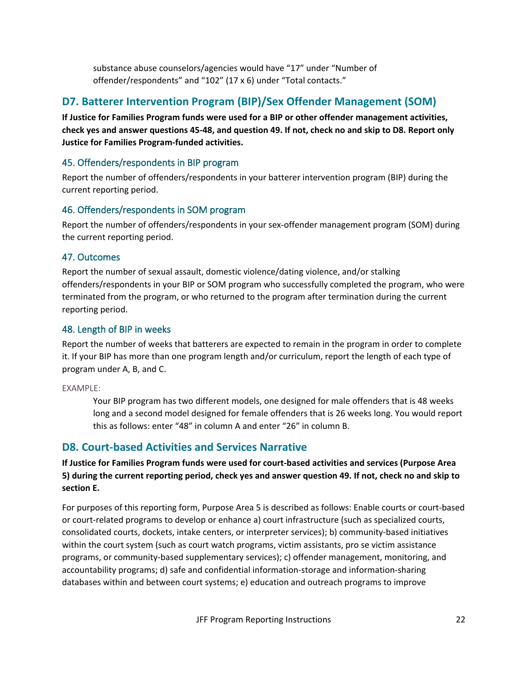substance abuse counselors/agencies would have "17" under "Number of offender/respondents" and "102" (17 x 6) under "Total contacts."

# **D7. Batterer Intervention Program (BIP)/Sex Offender Management (SOM)**

**If Justice for Families Program funds were used for a BIP or other offender management activities, check yes and answer questions 45-48, and question 49. If not, check no and skip to D8. Report only Justice for Families Program-funded activities.**

## 45. Offenders/respondents in BIP program

Report the number of offenders/respondents in your batterer intervention program (BIP) during the current reporting period.

## 46. Offenders/respondents in SOM program

Report the number of offenders/respondents in your sex-offender management program (SOM) during the current reporting period.

## 47. Outcomes

Report the number of sexual assault, domestic violence/dating violence, and/or stalking offenders/respondents in your BIP or SOM program who successfully completed the program, who were terminated from the program, or who returned to the program after termination during the current reporting period.

## 48. Length of BIP in weeks

Report the number of weeks that batterers are expected to remain in the program in order to complete it. If your BIP has more than one program length and/or curriculum, report the length of each type of program under A, B, and C.

### EXAMPLE:

Your BIP program has two different models, one designed for male offenders that is 48 weeks long and a second model designed for female offenders that is 26 weeks long. You would report this as follows: enter "48" in column A and enter "26" in column B.

# **D8. Court-based Activities and Services Narrative**

**If Justice for Families Program funds were used for court-based activities and services (Purpose Area 5) during the current reporting period, check yes and answer question 49. If not, check no and skip to section E.**

For purposes of this reporting form, Purpose Area 5 is described as follows: Enable courts or court-based or court-related programs to develop or enhance a) court infrastructure (such as specialized courts, consolidated courts, dockets, intake centers, or interpreter services); b) community-based initiatives within the court system (such as court watch programs, victim assistants, pro se victim assistance programs, or community-based supplementary services); c) offender management, monitoring, and accountability programs; d) safe and confidential information-storage and information-sharing databases within and between court systems; e) education and outreach programs to improve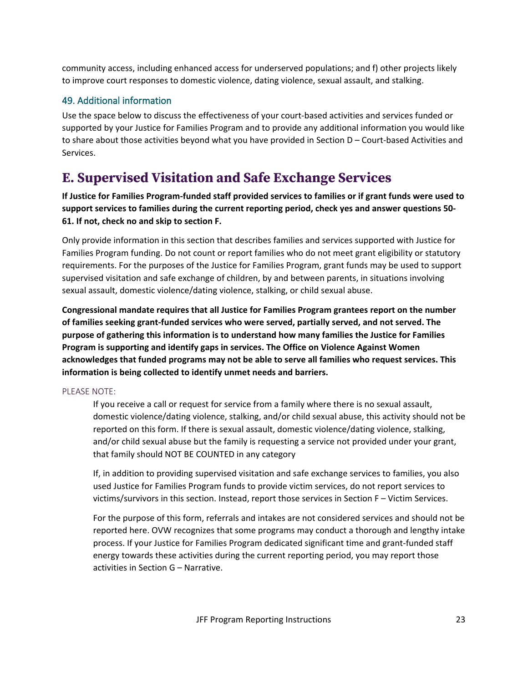community access, including enhanced access for underserved populations; and f) other projects likely to improve court responses to domestic violence, dating violence, sexual assault, and stalking.

## 49. Additional information

Use the space below to discuss the effectiveness of your court-based activities and services funded or supported by your Justice for Families Program and to provide any additional information you would like to share about those activities beyond what you have provided in Section D – Court-based Activities and Services.

# **E. Supervised Visitation and Safe Exchange Services**

**If Justice for Families Program-funded staff provided services to families or if grant funds were used to support services to families during the current reporting period, check yes and answer questions 50- 61. If not, check no and skip to section F.**

Only provide information in this section that describes families and services supported with Justice for Families Program funding. Do not count or report families who do not meet grant eligibility or statutory requirements. For the purposes of the Justice for Families Program, grant funds may be used to support supervised visitation and safe exchange of children, by and between parents, in situations involving sexual assault, domestic violence/dating violence, stalking, or child sexual abuse.

**Congressional mandate requires that all Justice for Families Program grantees report on the number of families seeking grant-funded services who were served, partially served, and not served. The purpose of gathering this information is to understand how many families the Justice for Families Program is supporting and identify gaps in services. The Office on Violence Against Women acknowledges that funded programs may not be able to serve all families who request services. This information is being collected to identify unmet needs and barriers.**

### PLEASE NOTE:

If you receive a call or request for service from a family where there is no sexual assault, domestic violence/dating violence, stalking, and/or child sexual abuse, this activity should not be reported on this form. If there is sexual assault, domestic violence/dating violence, stalking, and/or child sexual abuse but the family is requesting a service not provided under your grant, that family should NOT BE COUNTED in any category

If, in addition to providing supervised visitation and safe exchange services to families, you also used Justice for Families Program funds to provide victim services, do not report services to victims/survivors in this section. Instead, report those services in Section F – Victim Services.

For the purpose of this form, referrals and intakes are not considered services and should not be reported here. OVW recognizes that some programs may conduct a thorough and lengthy intake process. If your Justice for Families Program dedicated significant time and grant-funded staff energy towards these activities during the current reporting period, you may report those activities in Section G – Narrative.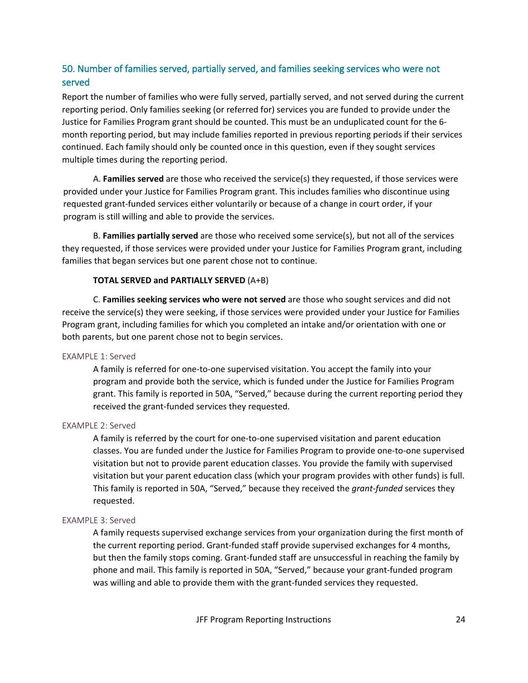## 50. Number of families served, partially served, and families seeking services who were not served

Report the number of families who were fully served, partially served, and not served during the current reporting period. Only families seeking (or referred for) services you are funded to provide under the Justice for Families Program grant should be counted. This must be an unduplicated count for the 6 month reporting period, but may include families reported in previous reporting periods if their services continued. Each family should only be counted once in this question, even if they sought services multiple times during the reporting period.

A. **Families served** are those who received the service(s) they requested, if those services were provided under your Justice for Families Program grant. This includes families who discontinue using requested grant-funded services either voluntarily or because of a change in court order, if your program is still willing and able to provide the services.

B. **Families partially served** are those who received some service(s), but not all of the services they requested, if those services were provided under your Justice for Families Program grant, including families that began services but one parent chose not to continue.

### **TOTAL SERVED and PARTIALLY SERVED** (A+B)

C. **Families seeking services who were not served** are those who sought services and did not receive the service(s) they were seeking, if those services were provided under your Justice for Families Program grant, including families for which you completed an intake and/or orientation with one or both parents, but one parent chose not to begin services.

### EXAMPLE 1: Served

A family is referred for one-to-one supervised visitation. You accept the family into your program and provide both the service, which is funded under the Justice for Families Program grant. This family is reported in 50A, "Served," because during the current reporting period they received the grant-funded services they requested.

### EXAMPLE 2: Served

A family is referred by the court for one-to-one supervised visitation and parent education classes. You are funded under the Justice for Families Program to provide one-to-one supervised visitation but not to provide parent education classes. You provide the family with supervised visitation but your parent education class (which your program provides with other funds) is full. This family is reported in 50A, "Served," because they received the *grant-funded* services they requested.

### EXAMPLE 3: Served

A family requests supervised exchange services from your organization during the first month of the current reporting period. Grant-funded staff provide supervised exchanges for 4 months, but then the family stops coming. Grant-funded staff are unsuccessful in reaching the family by phone and mail. This family is reported in 50A, "Served," because your grant-funded program was willing and able to provide them with the grant-funded services they requested.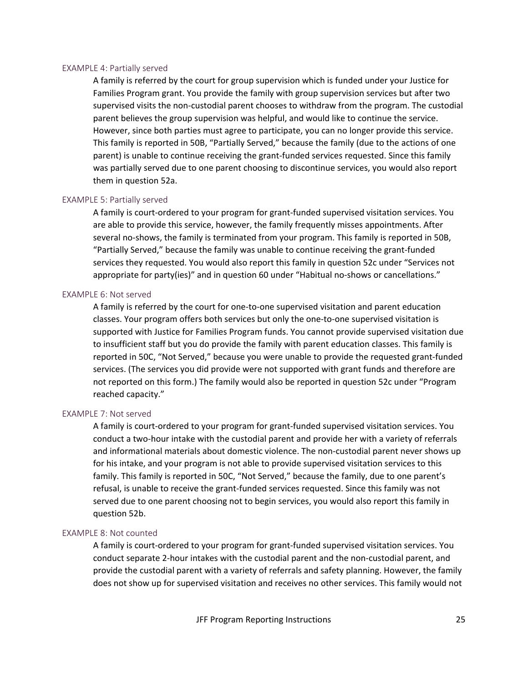#### EXAMPLE 4: Partially served

A family is referred by the court for group supervision which is funded under your Justice for Families Program grant. You provide the family with group supervision services but after two supervised visits the non-custodial parent chooses to withdraw from the program. The custodial parent believes the group supervision was helpful, and would like to continue the service. However, since both parties must agree to participate, you can no longer provide this service. This family is reported in 50B, "Partially Served," because the family (due to the actions of one parent) is unable to continue receiving the grant-funded services requested. Since this family was partially served due to one parent choosing to discontinue services, you would also report them in question 52a.

### EXAMPLE 5: Partially served

A family is court-ordered to your program for grant-funded supervised visitation services. You are able to provide this service, however, the family frequently misses appointments. After several no-shows, the family is terminated from your program. This family is reported in 50B, "Partially Served," because the family was unable to continue receiving the grant-funded services they requested. You would also report this family in question 52c under "Services not appropriate for party(ies)" and in question 60 under "Habitual no-shows or cancellations."

#### EXAMPLE 6: Not served

A family is referred by the court for one-to-one supervised visitation and parent education classes. Your program offers both services but only the one-to-one supervised visitation is supported with Justice for Families Program funds. You cannot provide supervised visitation due to insufficient staff but you do provide the family with parent education classes. This family is reported in 50C, "Not Served," because you were unable to provide the requested grant-funded services. (The services you did provide were not supported with grant funds and therefore are not reported on this form.) The family would also be reported in question 52c under "Program reached capacity."

#### EXAMPLE 7: Not served

A family is court-ordered to your program for grant-funded supervised visitation services. You conduct a two-hour intake with the custodial parent and provide her with a variety of referrals and informational materials about domestic violence. The non-custodial parent never shows up for his intake, and your program is not able to provide supervised visitation services to this family. This family is reported in 50C, "Not Served," because the family, due to one parent's refusal, is unable to receive the grant-funded services requested. Since this family was not served due to one parent choosing not to begin services, you would also report this family in question 52b.

### EXAMPLE 8: Not counted

A family is court-ordered to your program for grant-funded supervised visitation services. You conduct separate 2-hour intakes with the custodial parent and the non-custodial parent, and provide the custodial parent with a variety of referrals and safety planning. However, the family does not show up for supervised visitation and receives no other services. This family would not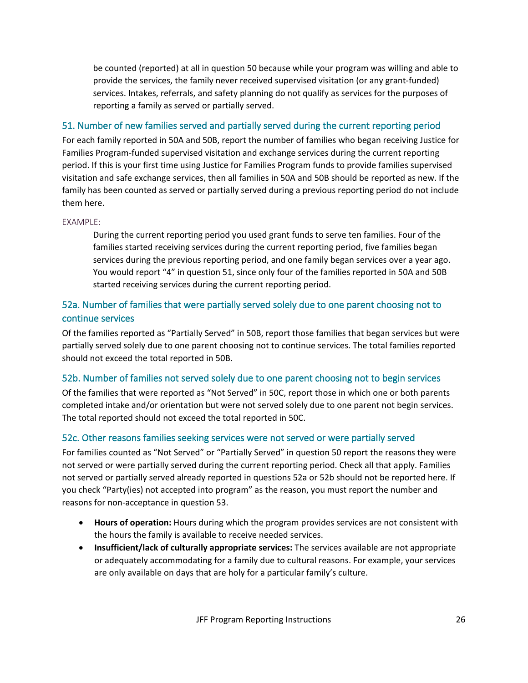be counted (reported) at all in question 50 because while your program was willing and able to provide the services, the family never received supervised visitation (or any grant-funded) services. Intakes, referrals, and safety planning do not qualify as services for the purposes of reporting a family as served or partially served.

## 51. Number of new families served and partially served during the current reporting period

For each family reported in 50A and 50B, report the number of families who began receiving Justice for Families Program-funded supervised visitation and exchange services during the current reporting period. If this is your first time using Justice for Families Program funds to provide families supervised visitation and safe exchange services, then all families in 50A and 50B should be reported as new. If the family has been counted as served or partially served during a previous reporting period do not include them here.

### EXAMPLE:

During the current reporting period you used grant funds to serve ten families. Four of the families started receiving services during the current reporting period, five families began services during the previous reporting period, and one family began services over a year ago. You would report "4" in question 51, since only four of the families reported in 50A and 50B started receiving services during the current reporting period.

## 52a. Number of families that were partially served solely due to one parent choosing not to continue services

Of the families reported as "Partially Served" in 50B, report those families that began services but were partially served solely due to one parent choosing not to continue services. The total families reported should not exceed the total reported in 50B.

## 52b. Number of families not served solely due to one parent choosing not to begin services

Of the families that were reported as "Not Served" in 50C, report those in which one or both parents completed intake and/or orientation but were not served solely due to one parent not begin services. The total reported should not exceed the total reported in 50C.

## 52c. Other reasons families seeking services were not served or were partially served

For families counted as "Not Served" or "Partially Served" in question 50 report the reasons they were not served or were partially served during the current reporting period. Check all that apply. Families not served or partially served already reported in questions 52a or 52b should not be reported here. If you check "Party(ies) not accepted into program" as the reason, you must report the number and reasons for non-acceptance in question 53.

- **Hours of operation:** Hours during which the program provides services are not consistent with the hours the family is available to receive needed services.
- **Insufficient/lack of culturally appropriate services:** The services available are not appropriate or adequately accommodating for a family due to cultural reasons. For example, your services are only available on days that are holy for a particular family's culture.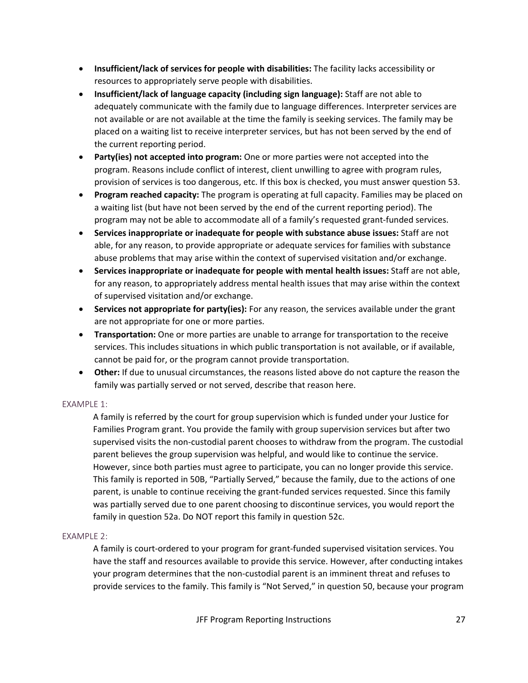- **Insufficient/lack of services for people with disabilities:** The facility lacks accessibility or resources to appropriately serve people with disabilities.
- **Insufficient/lack of language capacity (including sign language):** Staff are not able to adequately communicate with the family due to language differences. Interpreter services are not available or are not available at the time the family is seeking services. The family may be placed on a waiting list to receive interpreter services, but has not been served by the end of the current reporting period.
- **Party(ies) not accepted into program:** One or more parties were not accepted into the program. Reasons include conflict of interest, client unwilling to agree with program rules, provision of services is too dangerous, etc. If this box is checked, you must answer question 53.
- **Program reached capacity:** The program is operating at full capacity. Families may be placed on a waiting list (but have not been served by the end of the current reporting period). The program may not be able to accommodate all of a family's requested grant-funded services.
- **Services inappropriate or inadequate for people with substance abuse issues:** Staff are not able, for any reason, to provide appropriate or adequate services for families with substance abuse problems that may arise within the context of supervised visitation and/or exchange.
- **Services inappropriate or inadequate for people with mental health issues:** Staff are not able, for any reason, to appropriately address mental health issues that may arise within the context of supervised visitation and/or exchange.
- **Services not appropriate for party(ies):** For any reason, the services available under the grant are not appropriate for one or more parties.
- **Transportation:** One or more parties are unable to arrange for transportation to the receive services. This includes situations in which public transportation is not available, or if available, cannot be paid for, or the program cannot provide transportation.
- **Other:** If due to unusual circumstances, the reasons listed above do not capture the reason the family was partially served or not served, describe that reason here.

### EXAMPLE 1:

A family is referred by the court for group supervision which is funded under your Justice for Families Program grant. You provide the family with group supervision services but after two supervised visits the non-custodial parent chooses to withdraw from the program. The custodial parent believes the group supervision was helpful, and would like to continue the service. However, since both parties must agree to participate, you can no longer provide this service. This family is reported in 50B, "Partially Served," because the family, due to the actions of one parent, is unable to continue receiving the grant-funded services requested. Since this family was partially served due to one parent choosing to discontinue services, you would report the family in question 52a. Do NOT report this family in question 52c.

### EXAMPLE 2:

A family is court-ordered to your program for grant-funded supervised visitation services. You have the staff and resources available to provide this service. However, after conducting intakes your program determines that the non-custodial parent is an imminent threat and refuses to provide services to the family. This family is "Not Served," in question 50, because your program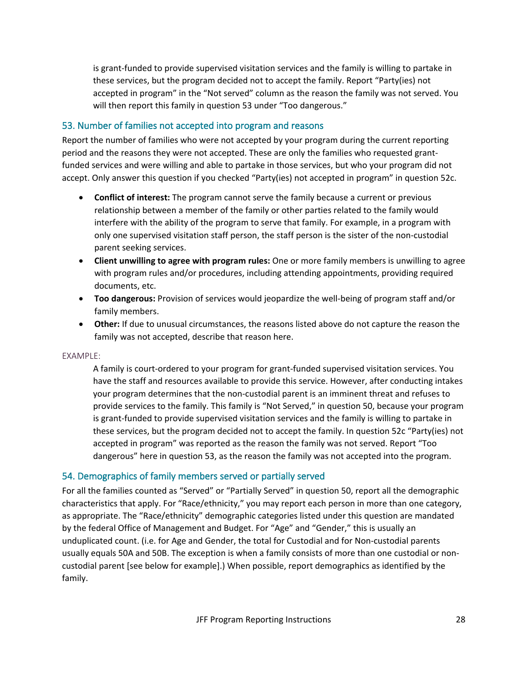is grant-funded to provide supervised visitation services and the family is willing to partake in these services, but the program decided not to accept the family. Report "Party(ies) not accepted in program" in the "Not served" column as the reason the family was not served. You will then report this family in question 53 under "Too dangerous."

## 53. Number of families not accepted into program and reasons

Report the number of families who were not accepted by your program during the current reporting period and the reasons they were not accepted. These are only the families who requested grantfunded services and were willing and able to partake in those services, but who your program did not accept. Only answer this question if you checked "Party(ies) not accepted in program" in question 52c.

- **Conflict of interest:** The program cannot serve the family because a current or previous relationship between a member of the family or other parties related to the family would interfere with the ability of the program to serve that family. For example, in a program with only one supervised visitation staff person, the staff person is the sister of the non-custodial parent seeking services.
- **Client unwilling to agree with program rules:** One or more family members is unwilling to agree with program rules and/or procedures, including attending appointments, providing required documents, etc.
- **Too dangerous:** Provision of services would jeopardize the well-being of program staff and/or family members.
- **Other:** If due to unusual circumstances, the reasons listed above do not capture the reason the family was not accepted, describe that reason here.

### EXAMPLE:

A family is court-ordered to your program for grant-funded supervised visitation services. You have the staff and resources available to provide this service. However, after conducting intakes your program determines that the non-custodial parent is an imminent threat and refuses to provide services to the family. This family is "Not Served," in question 50, because your program is grant-funded to provide supervised visitation services and the family is willing to partake in these services, but the program decided not to accept the family. In question 52c "Party(ies) not accepted in program" was reported as the reason the family was not served. Report "Too dangerous" here in question 53, as the reason the family was not accepted into the program.

### 54. Demographics of family members served or partially served

For all the families counted as "Served" or "Partially Served" in question 50, report all the demographic characteristics that apply. For "Race/ethnicity," you may report each person in more than one category, as appropriate. The "Race/ethnicity" demographic categories listed under this question are mandated by the federal Office of Management and Budget. For "Age" and "Gender," this is usually an unduplicated count. (i.e. for Age and Gender, the total for Custodial and for Non-custodial parents usually equals 50A and 50B. The exception is when a family consists of more than one custodial or noncustodial parent [see below for example].) When possible, report demographics as identified by the family.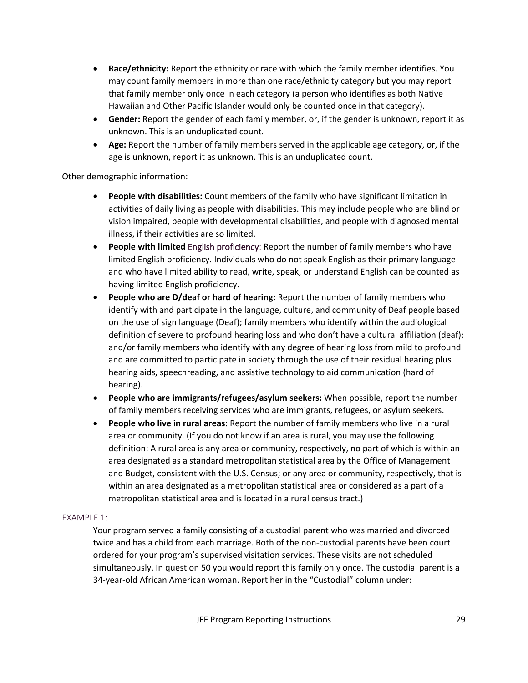- **Race/ethnicity:** Report the ethnicity or race with which the family member identifies. You may count family members in more than one race/ethnicity category but you may report that family member only once in each category (a person who identifies as both Native Hawaiian and Other Pacific Islander would only be counted once in that category).
- **Gender:** Report the gender of each family member, or, if the gender is unknown, report it as unknown. This is an unduplicated count.
- **Age:** Report the number of family members served in the applicable age category, or, if the age is unknown, report it as unknown. This is an unduplicated count.

Other demographic information:

- **People with disabilities:** Count members of the family who have significant limitation in activities of daily living as people with disabilities. This may include people who are blind or vision impaired, people with developmental disabilities, and people with diagnosed mental illness, if their activities are so limited.
- **People with limited** English proficiency: Report the number of family members who have limited English proficiency. Individuals who do not speak English as their primary language and who have limited ability to read, write, speak, or understand English can be counted as having limited English proficiency.
- **People who are D/deaf or hard of hearing:** Report the number of family members who identify with and participate in the language, culture, and community of Deaf people based on the use of sign language (Deaf); family members who identify within the audiological definition of severe to profound hearing loss and who don't have a cultural affiliation (deaf); and/or family members who identify with any degree of hearing loss from mild to profound and are committed to participate in society through the use of their residual hearing plus hearing aids, speechreading, and assistive technology to aid communication (hard of hearing).
- **People who are immigrants/refugees/asylum seekers:** When possible, report the number of family members receiving services who are immigrants, refugees, or asylum seekers.
- **People who live in rural areas:** Report the number of family members who live in a rural area or community. (If you do not know if an area is rural, you may use the following definition: A rural area is any area or community, respectively, no part of which is within an area designated as a standard metropolitan statistical area by the Office of Management and Budget, consistent with the U.S. Census; or any area or community, respectively, that is within an area designated as a metropolitan statistical area or considered as a part of a metropolitan statistical area and is located in a rural census tract.)

### EXAMPLE 1:

Your program served a family consisting of a custodial parent who was married and divorced twice and has a child from each marriage. Both of the non-custodial parents have been court ordered for your program's supervised visitation services. These visits are not scheduled simultaneously. In question 50 you would report this family only once. The custodial parent is a 34-year-old African American woman. Report her in the "Custodial" column under: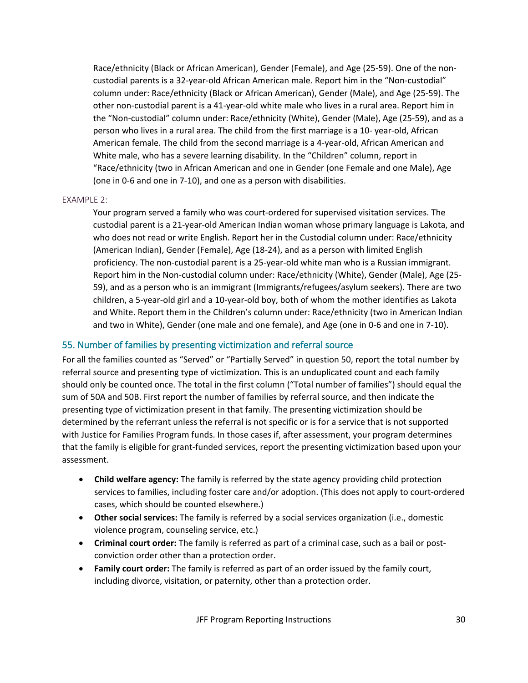Race/ethnicity (Black or African American), Gender (Female), and Age (25-59). One of the noncustodial parents is a 32-year-old African American male. Report him in the "Non-custodial" column under: Race/ethnicity (Black or African American), Gender (Male), and Age (25-59). The other non-custodial parent is a 41-year-old white male who lives in a rural area. Report him in the "Non-custodial" column under: Race/ethnicity (White), Gender (Male), Age (25-59), and as a person who lives in a rural area. The child from the first marriage is a 10- year-old, African American female. The child from the second marriage is a 4-year-old, African American and White male, who has a severe learning disability. In the "Children" column, report in "Race/ethnicity (two in African American and one in Gender (one Female and one Male), Age (one in 0-6 and one in 7-10), and one as a person with disabilities.

### EXAMPLE 2:

Your program served a family who was court-ordered for supervised visitation services. The custodial parent is a 21-year-old American Indian woman whose primary language is Lakota, and who does not read or write English. Report her in the Custodial column under: Race/ethnicity (American Indian), Gender (Female), Age (18-24), and as a person with limited English proficiency. The non-custodial parent is a 25-year-old white man who is a Russian immigrant. Report him in the Non-custodial column under: Race/ethnicity (White), Gender (Male), Age (25- 59), and as a person who is an immigrant (Immigrants/refugees/asylum seekers). There are two children, a 5-year-old girl and a 10-year-old boy, both of whom the mother identifies as Lakota and White. Report them in the Children's column under: Race/ethnicity (two in American Indian and two in White), Gender (one male and one female), and Age (one in 0-6 and one in 7-10).

### 55. Number of families by presenting victimization and referral source

For all the families counted as "Served" or "Partially Served" in question 50, report the total number by referral source and presenting type of victimization. This is an unduplicated count and each family should only be counted once. The total in the first column ("Total number of families") should equal the sum of 50A and 50B. First report the number of families by referral source, and then indicate the presenting type of victimization present in that family. The presenting victimization should be determined by the referrant unless the referral is not specific or is for a service that is not supported with Justice for Families Program funds. In those cases if, after assessment, your program determines that the family is eligible for grant-funded services, report the presenting victimization based upon your assessment.

- **Child welfare agency:** The family is referred by the state agency providing child protection services to families, including foster care and/or adoption. (This does not apply to court-ordered cases, which should be counted elsewhere.)
- **Other social services:** The family is referred by a social services organization (i.e., domestic violence program, counseling service, etc.)
- **Criminal court order:** The family is referred as part of a criminal case, such as a bail or postconviction order other than a protection order.
- **Family court order:** The family is referred as part of an order issued by the family court, including divorce, visitation, or paternity, other than a protection order.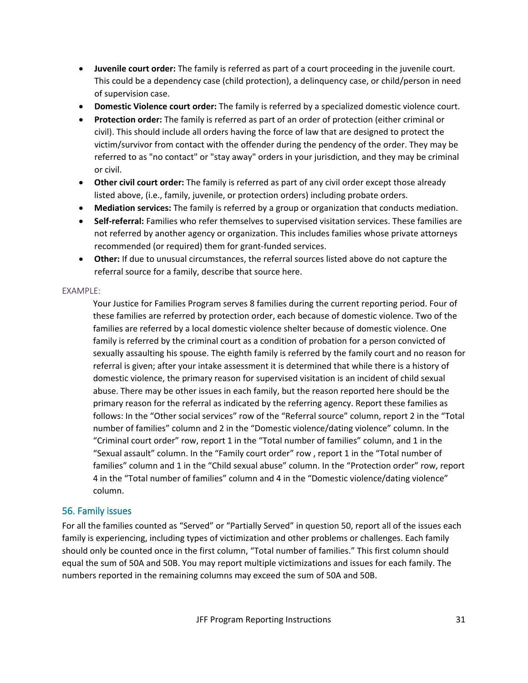- **Juvenile court order:** The family is referred as part of a court proceeding in the juvenile court. This could be a dependency case (child protection), a delinquency case, or child/person in need of supervision case.
- **Domestic Violence court order:** The family is referred by a specialized domestic violence court.
- **Protection order:** The family is referred as part of an order of protection (either criminal or civil). This should include all orders having the force of law that are designed to protect the victim/survivor from contact with the offender during the pendency of the order. They may be referred to as "no contact" or "stay away" orders in your jurisdiction, and they may be criminal or civil.
- **Other civil court order:** The family is referred as part of any civil order except those already listed above, (i.e., family, juvenile, or protection orders) including probate orders.
- **Mediation services:** The family is referred by a group or organization that conducts mediation.
- **Self-referral:** Families who refer themselves to supervised visitation services. These families are not referred by another agency or organization. This includes families whose private attorneys recommended (or required) them for grant-funded services.
- **Other:** If due to unusual circumstances, the referral sources listed above do not capture the referral source for a family, describe that source here.

### EXAMPLE:

Your Justice for Families Program serves 8 families during the current reporting period. Four of these families are referred by protection order, each because of domestic violence. Two of the families are referred by a local domestic violence shelter because of domestic violence. One family is referred by the criminal court as a condition of probation for a person convicted of sexually assaulting his spouse. The eighth family is referred by the family court and no reason for referral is given; after your intake assessment it is determined that while there is a history of domestic violence, the primary reason for supervised visitation is an incident of child sexual abuse. There may be other issues in each family, but the reason reported here should be the primary reason for the referral as indicated by the referring agency. Report these families as follows: In the "Other social services" row of the "Referral source" column, report 2 in the "Total number of families" column and 2 in the "Domestic violence/dating violence" column. In the "Criminal court order" row, report 1 in the "Total number of families" column, and 1 in the "Sexual assault" column. In the "Family court order" row , report 1 in the "Total number of families" column and 1 in the "Child sexual abuse" column. In the "Protection order" row, report 4 in the "Total number of families" column and 4 in the "Domestic violence/dating violence" column.

## 56. Family issues

For all the families counted as "Served" or "Partially Served" in question 50, report all of the issues each family is experiencing, including types of victimization and other problems or challenges. Each family should only be counted once in the first column, "Total number of families." This first column should equal the sum of 50A and 50B. You may report multiple victimizations and issues for each family. The numbers reported in the remaining columns may exceed the sum of 50A and 50B.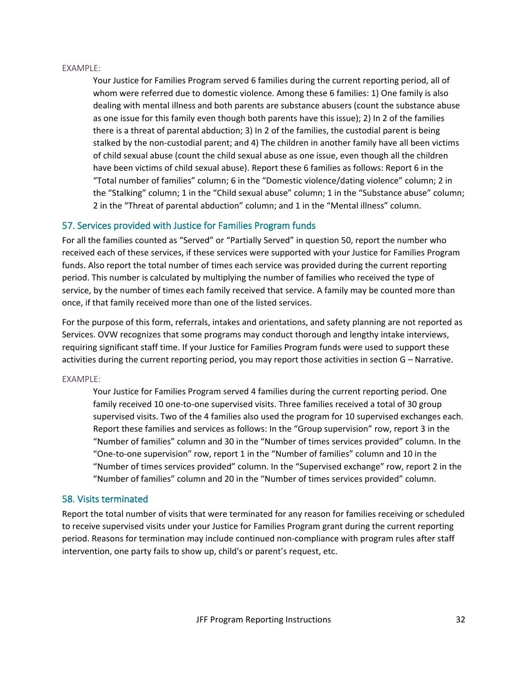#### EXAMPLE:

Your Justice for Families Program served 6 families during the current reporting period, all of whom were referred due to domestic violence. Among these 6 families: 1) One family is also dealing with mental illness and both parents are substance abusers (count the substance abuse as one issue for this family even though both parents have this issue); 2) In 2 of the families there is a threat of parental abduction; 3) In 2 of the families, the custodial parent is being stalked by the non-custodial parent; and 4) The children in another family have all been victims of child sexual abuse (count the child sexual abuse as one issue, even though all the children have been victims of child sexual abuse). Report these 6 families as follows: Report 6 in the "Total number of families" column; 6 in the "Domestic violence/dating violence" column; 2 in the "Stalking" column; 1 in the "Child sexual abuse" column; 1 in the "Substance abuse" column; 2 in the "Threat of parental abduction" column; and 1 in the "Mental illness" column.

### 57. Services provided with Justice for Families Program funds

For all the families counted as "Served" or "Partially Served" in question 50, report the number who received each of these services, if these services were supported with your Justice for Families Program funds. Also report the total number of times each service was provided during the current reporting period. This number is calculated by multiplying the number of families who received the type of service, by the number of times each family received that service. A family may be counted more than once, if that family received more than one of the listed services.

For the purpose of this form, referrals, intakes and orientations, and safety planning are not reported as Services. OVW recognizes that some programs may conduct thorough and lengthy intake interviews, requiring significant staff time. If your Justice for Families Program funds were used to support these activities during the current reporting period, you may report those activities in section G – Narrative.

### EXAMPLE:

Your Justice for Families Program served 4 families during the current reporting period. One family received 10 one-to-one supervised visits. Three families received a total of 30 group supervised visits. Two of the 4 families also used the program for 10 supervised exchanges each. Report these families and services as follows: In the "Group supervision" row, report 3 in the "Number of families" column and 30 in the "Number of times services provided" column. In the "One-to-one supervision" row, report 1 in the "Number of families" column and 10 in the "Number of times services provided" column. In the "Supervised exchange" row, report 2 in the "Number of families" column and 20 in the "Number of times services provided" column.

### 58. Visits terminated

Report the total number of visits that were terminated for any reason for families receiving or scheduled to receive supervised visits under your Justice for Families Program grant during the current reporting period. Reasons for termination may include continued non-compliance with program rules after staff intervention, one party fails to show up, child's or parent's request, etc.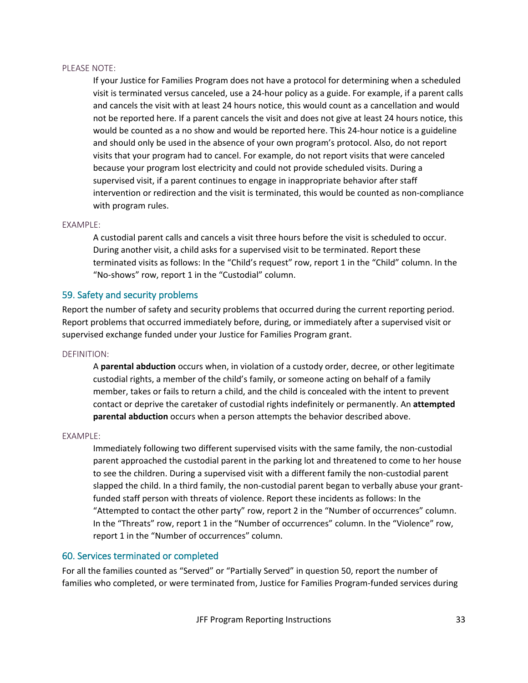### PLEASE NOTE:

If your Justice for Families Program does not have a protocol for determining when a scheduled visit is terminated versus canceled, use a 24-hour policy as a guide. For example, if a parent calls and cancels the visit with at least 24 hours notice, this would count as a cancellation and would not be reported here. If a parent cancels the visit and does not give at least 24 hours notice, this would be counted as a no show and would be reported here. This 24-hour notice is a guideline and should only be used in the absence of your own program's protocol. Also, do not report visits that your program had to cancel. For example, do not report visits that were canceled because your program lost electricity and could not provide scheduled visits. During a supervised visit, if a parent continues to engage in inappropriate behavior after staff intervention or redirection and the visit is terminated, this would be counted as non-compliance with program rules.

### EXAMPLE:

A custodial parent calls and cancels a visit three hours before the visit is scheduled to occur. During another visit, a child asks for a supervised visit to be terminated. Report these terminated visits as follows: In the "Child's request" row, report 1 in the "Child" column. In the "No-shows" row, report 1 in the "Custodial" column.

### 59. Safety and security problems

Report the number of safety and security problems that occurred during the current reporting period. Report problems that occurred immediately before, during, or immediately after a supervised visit or supervised exchange funded under your Justice for Families Program grant.

DEFINITION:

A **parental abduction** occurs when, in violation of a custody order, decree, or other legitimate custodial rights, a member of the child's family, or someone acting on behalf of a family member, takes or fails to return a child, and the child is concealed with the intent to prevent contact or deprive the caretaker of custodial rights indefinitely or permanently. An **attempted parental abduction** occurs when a person attempts the behavior described above.

### EXAMPLE:

Immediately following two different supervised visits with the same family, the non-custodial parent approached the custodial parent in the parking lot and threatened to come to her house to see the children. During a supervised visit with a different family the non-custodial parent slapped the child. In a third family, the non-custodial parent began to verbally abuse your grantfunded staff person with threats of violence. Report these incidents as follows: In the "Attempted to contact the other party" row, report 2 in the "Number of occurrences" column. In the "Threats" row, report 1 in the "Number of occurrences" column. In the "Violence" row, report 1 in the "Number of occurrences" column.

### 60. Services terminated or completed

For all the families counted as "Served" or "Partially Served" in question 50, report the number of families who completed, or were terminated from, Justice for Families Program-funded services during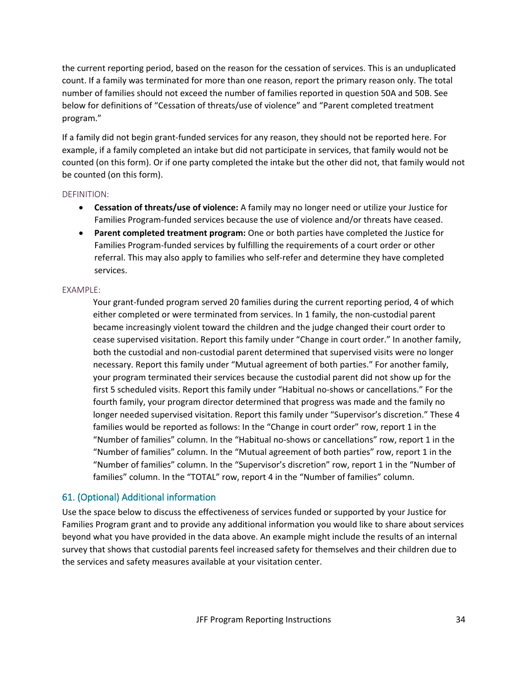the current reporting period, based on the reason for the cessation of services. This is an unduplicated count. If a family was terminated for more than one reason, report the primary reason only. The total number of families should not exceed the number of families reported in question 50A and 50B. See below for definitions of "Cessation of threats/use of violence" and "Parent completed treatment program."

If a family did not begin grant-funded services for any reason, they should not be reported here. For example, if a family completed an intake but did not participate in services, that family would not be counted (on this form). Or if one party completed the intake but the other did not, that family would not be counted (on this form).

### DEFINITION:

- **Cessation of threats/use of violence:** A family may no longer need or utilize your Justice for Families Program-funded services because the use of violence and/or threats have ceased.
- **Parent completed treatment program:** One or both parties have completed the Justice for Families Program-funded services by fulfilling the requirements of a court order or other referral. This may also apply to families who self-refer and determine they have completed services.

### EXAMPLE:

Your grant-funded program served 20 families during the current reporting period, 4 of which either completed or were terminated from services. In 1 family, the non-custodial parent became increasingly violent toward the children and the judge changed their court order to cease supervised visitation. Report this family under "Change in court order." In another family, both the custodial and non-custodial parent determined that supervised visits were no longer necessary. Report this family under "Mutual agreement of both parties." For another family, your program terminated their services because the custodial parent did not show up for the first 5 scheduled visits. Report this family under "Habitual no-shows or cancellations." For the fourth family, your program director determined that progress was made and the family no longer needed supervised visitation. Report this family under "Supervisor's discretion." These 4 families would be reported as follows: In the "Change in court order" row, report 1 in the "Number of families" column. In the "Habitual no-shows or cancellations" row, report 1 in the "Number of families" column. In the "Mutual agreement of both parties" row, report 1 in the "Number of families" column. In the "Supervisor's discretion" row, report 1 in the "Number of families" column. In the "TOTAL" row, report 4 in the "Number of families" column.

### 61. (Optional) Additional information

Use the space below to discuss the effectiveness of services funded or supported by your Justice for Families Program grant and to provide any additional information you would like to share about services beyond what you have provided in the data above. An example might include the results of an internal survey that shows that custodial parents feel increased safety for themselves and their children due to the services and safety measures available at your visitation center.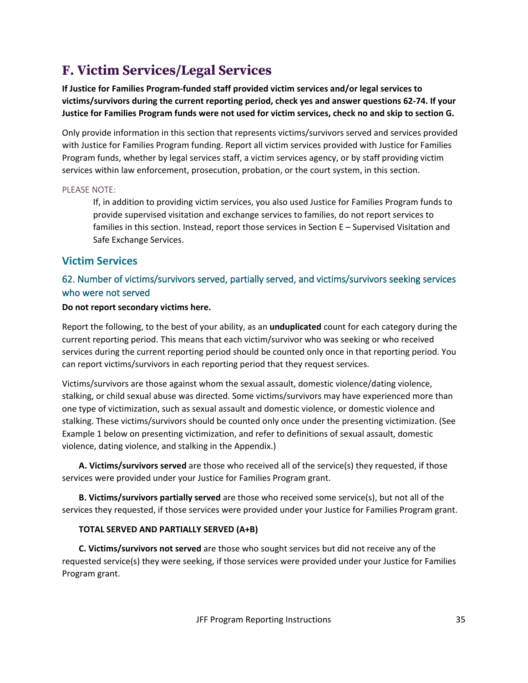# **F. Victim Services/Legal Services**

**If Justice for Families Program-funded staff provided victim services and/or legal services to victims/survivors during the current reporting period, check yes and answer questions 62-74. If your Justice for Families Program funds were not used for victim services, check no and skip to section G.**

Only provide information in this section that represents victims/survivors served and services provided with Justice for Families Program funding. Report all victim services provided with Justice for Families Program funds, whether by legal services staff, a victim services agency, or by staff providing victim services within law enforcement, prosecution, probation, or the court system, in this section.

### PLEASE NOTE:

If, in addition to providing victim services, you also used Justice for Families Program funds to provide supervised visitation and exchange services to families, do not report services to families in this section. Instead, report those services in Section E – Supervised Visitation and Safe Exchange Services.

## **Victim Services**

## 62. Number of victims/survivors served, partially served, and victims/survivors seeking services who were not served

### **Do not report secondary victims here.**

Report the following, to the best of your ability, as an **unduplicated** count for each category during the current reporting period. This means that each victim/survivor who was seeking or who received services during the current reporting period should be counted only once in that reporting period. You can report victims/survivors in each reporting period that they request services.

Victims/survivors are those against whom the sexual assault, domestic violence/dating violence, stalking, or child sexual abuse was directed. Some victims/survivors may have experienced more than one type of victimization, such as sexual assault and domestic violence, or domestic violence and stalking. These victims/survivors should be counted only once under the presenting victimization. (See Example 1 below on presenting victimization, and refer to definitions of sexual assault, domestic violence, dating violence, and stalking in the Appendix.)

**A. Victims/survivors served** are those who received all of the service(s) they requested, if those services were provided under your Justice for Families Program grant.

**B. Victims/survivors partially served** are those who received some service(s), but not all of the services they requested, if those services were provided under your Justice for Families Program grant.

### **TOTAL SERVED AND PARTIALLY SERVED (A+B)**

**C. Victims/survivors not served** are those who sought services but did not receive any of the requested service(s) they were seeking, if those services were provided under your Justice for Families Program grant.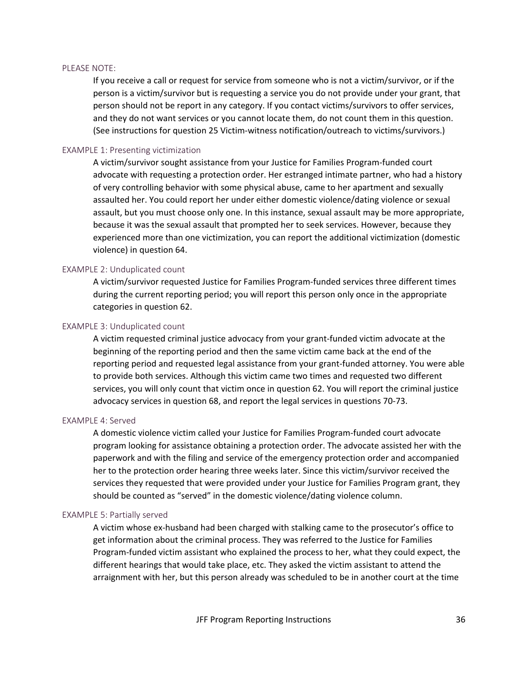#### PLEASE NOTE:

If you receive a call or request for service from someone who is not a victim/survivor, or if the person is a victim/survivor but is requesting a service you do not provide under your grant, that person should not be report in any category. If you contact victims/survivors to offer services, and they do not want services or you cannot locate them, do not count them in this question. (See instructions for question 25 Victim-witness notification/outreach to victims/survivors.)

### EXAMPLE 1: Presenting victimization

A victim/survivor sought assistance from your Justice for Families Program-funded court advocate with requesting a protection order. Her estranged intimate partner, who had a history of very controlling behavior with some physical abuse, came to her apartment and sexually assaulted her. You could report her under either domestic violence/dating violence or sexual assault, but you must choose only one. In this instance, sexual assault may be more appropriate, because it was the sexual assault that prompted her to seek services. However, because they experienced more than one victimization, you can report the additional victimization (domestic violence) in question 64.

### EXAMPLE 2: Unduplicated count

A victim/survivor requested Justice for Families Program-funded services three different times during the current reporting period; you will report this person only once in the appropriate categories in question 62.

#### EXAMPLE 3: Unduplicated count

A victim requested criminal justice advocacy from your grant-funded victim advocate at the beginning of the reporting period and then the same victim came back at the end of the reporting period and requested legal assistance from your grant-funded attorney. You were able to provide both services. Although this victim came two times and requested two different services, you will only count that victim once in question 62. You will report the criminal justice advocacy services in question 68, and report the legal services in questions 70-73.

#### EXAMPLE 4: Served

A domestic violence victim called your Justice for Families Program-funded court advocate program looking for assistance obtaining a protection order. The advocate assisted her with the paperwork and with the filing and service of the emergency protection order and accompanied her to the protection order hearing three weeks later. Since this victim/survivor received the services they requested that were provided under your Justice for Families Program grant, they should be counted as "served" in the domestic violence/dating violence column.

#### EXAMPLE 5: Partially served

A victim whose ex-husband had been charged with stalking came to the prosecutor's office to get information about the criminal process. They was referred to the Justice for Families Program-funded victim assistant who explained the process to her, what they could expect, the different hearings that would take place, etc. They asked the victim assistant to attend the arraignment with her, but this person already was scheduled to be in another court at the time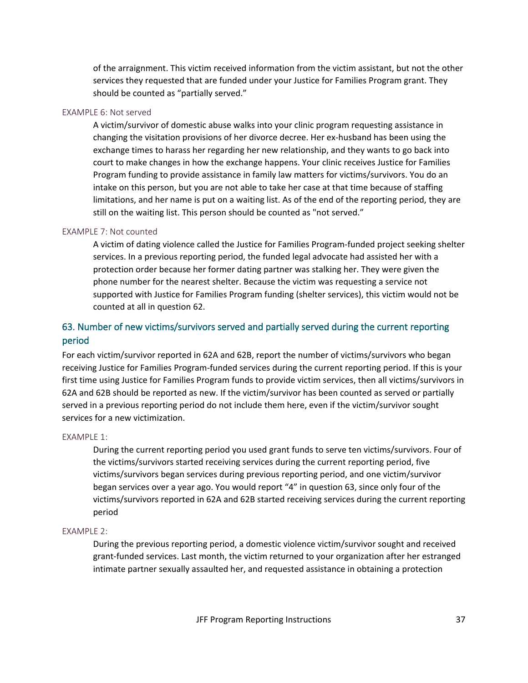of the arraignment. This victim received information from the victim assistant, but not the other services they requested that are funded under your Justice for Families Program grant. They should be counted as "partially served."

### EXAMPLE 6: Not served

A victim/survivor of domestic abuse walks into your clinic program requesting assistance in changing the visitation provisions of her divorce decree. Her ex-husband has been using the exchange times to harass her regarding her new relationship, and they wants to go back into court to make changes in how the exchange happens. Your clinic receives Justice for Families Program funding to provide assistance in family law matters for victims/survivors. You do an intake on this person, but you are not able to take her case at that time because of staffing limitations, and her name is put on a waiting list. As of the end of the reporting period, they are still on the waiting list. This person should be counted as "not served."

### EXAMPLE 7: Not counted

A victim of dating violence called the Justice for Families Program-funded project seeking shelter services. In a previous reporting period, the funded legal advocate had assisted her with a protection order because her former dating partner was stalking her. They were given the phone number for the nearest shelter. Because the victim was requesting a service not supported with Justice for Families Program funding (shelter services), this victim would not be counted at all in question 62.

## 63. Number of new victims/survivors served and partially served during the current reporting period

For each victim/survivor reported in 62A and 62B, report the number of victims/survivors who began receiving Justice for Families Program-funded services during the current reporting period. If this is your first time using Justice for Families Program funds to provide victim services, then all victims/survivors in 62A and 62B should be reported as new. If the victim/survivor has been counted as served or partially served in a previous reporting period do not include them here, even if the victim/survivor sought services for a new victimization.

### EXAMPLE 1:

During the current reporting period you used grant funds to serve ten victims/survivors. Four of the victims/survivors started receiving services during the current reporting period, five victims/survivors began services during previous reporting period, and one victim/survivor began services over a year ago. You would report "4" in question 63, since only four of the victims/survivors reported in 62A and 62B started receiving services during the current reporting period

### EXAMPLE 2:

During the previous reporting period, a domestic violence victim/survivor sought and received grant-funded services. Last month, the victim returned to your organization after her estranged intimate partner sexually assaulted her, and requested assistance in obtaining a protection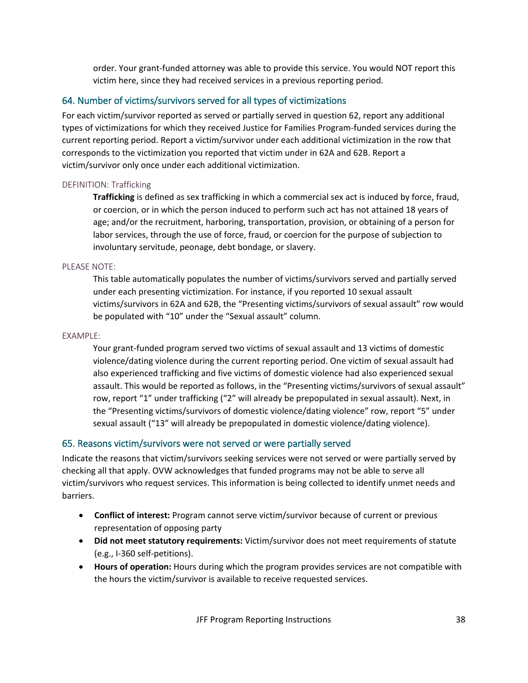order. Your grant-funded attorney was able to provide this service. You would NOT report this victim here, since they had received services in a previous reporting period.

## 64. Number of victims/survivors served for all types of victimizations

For each victim/survivor reported as served or partially served in question 62, report any additional types of victimizations for which they received Justice for Families Program-funded services during the current reporting period. Report a victim/survivor under each additional victimization in the row that corresponds to the victimization you reported that victim under in 62A and 62B. Report a victim/survivor only once under each additional victimization.

### DEFINITION: Trafficking

**Trafficking** is defined as sex trafficking in which a commercial sex act is induced by force, fraud, or coercion, or in which the person induced to perform such act has not attained 18 years of age; and/or the recruitment, harboring, transportation, provision, or obtaining of a person for labor services, through the use of force, fraud, or coercion for the purpose of subjection to involuntary servitude, peonage, debt bondage, or slavery.

### PLEASE NOTE:

This table automatically populates the number of victims/survivors served and partially served under each presenting victimization. For instance, if you reported 10 sexual assault victims/survivors in 62A and 62B, the "Presenting victims/survivors of sexual assault" row would be populated with "10" under the "Sexual assault" column.

### EXAMPLE:

Your grant-funded program served two victims of sexual assault and 13 victims of domestic violence/dating violence during the current reporting period. One victim of sexual assault had also experienced trafficking and five victims of domestic violence had also experienced sexual assault. This would be reported as follows, in the "Presenting victims/survivors of sexual assault" row, report "1" under trafficking ("2" will already be prepopulated in sexual assault). Next, in the "Presenting victims/survivors of domestic violence/dating violence" row, report "5" under sexual assault ("13" will already be prepopulated in domestic violence/dating violence).

## 65. Reasons victim/survivors were not served or were partially served

Indicate the reasons that victim/survivors seeking services were not served or were partially served by checking all that apply. OVW acknowledges that funded programs may not be able to serve all victim/survivors who request services. This information is being collected to identify unmet needs and barriers.

- **Conflict of interest:** Program cannot serve victim/survivor because of current or previous representation of opposing party
- **Did not meet statutory requirements:** Victim/survivor does not meet requirements of statute (e.g., I-360 self-petitions).
- **Hours of operation:** Hours during which the program provides services are not compatible with the hours the victim/survivor is available to receive requested services.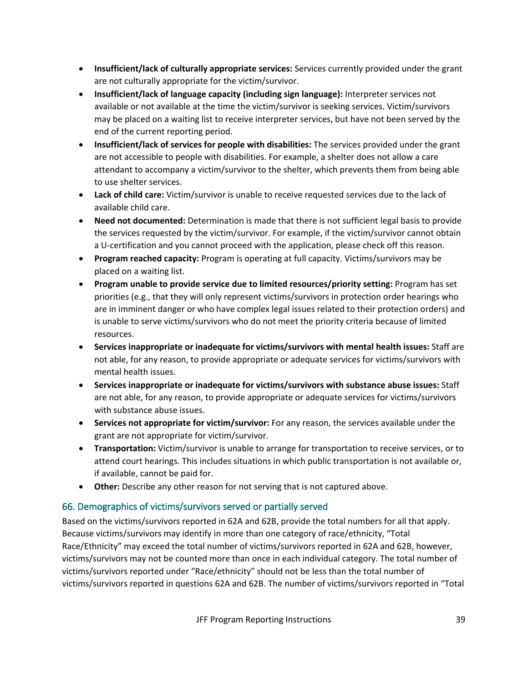- **Insufficient/lack of culturally appropriate services:** Services currently provided under the grant are not culturally appropriate for the victim/survivor.
- **Insufficient/lack of language capacity (including sign language):** Interpreter services not available or not available at the time the victim/survivor is seeking services. Victim/survivors may be placed on a waiting list to receive interpreter services, but have not been served by the end of the current reporting period.
- **Insufficient/lack of services for people with disabilities:** The services provided under the grant are not accessible to people with disabilities. For example, a shelter does not allow a care attendant to accompany a victim/survivor to the shelter, which prevents them from being able to use shelter services.
- **Lack of child care:** Victim/survivor is unable to receive requested services due to the lack of available child care.
- **Need not documented:** Determination is made that there is not sufficient legal basis to provide the services requested by the victim/survivor. For example, if the victim/survivor cannot obtain a U-certification and you cannot proceed with the application, please check off this reason.
- **Program reached capacity:** Program is operating at full capacity. Victims/survivors may be placed on a waiting list.
- **Program unable to provide service due to limited resources/priority setting:** Program has set priorities (e.g., that they will only represent victims/survivors in protection order hearings who are in imminent danger or who have complex legal issues related to their protection orders) and is unable to serve victims/survivors who do not meet the priority criteria because of limited resources.
- **Services inappropriate or inadequate for victims/survivors with mental health issues:** Staff are not able, for any reason, to provide appropriate or adequate services for victims/survivors with mental health issues.
- **Services inappropriate or inadequate for victims/survivors with substance abuse issues:** Staff are not able, for any reason, to provide appropriate or adequate services for victims/survivors with substance abuse issues.
- **Services not appropriate for victim/survivor:** For any reason, the services available under the grant are not appropriate for victim/survivor.
- **Transportation:** Victim/survivor is unable to arrange for transportation to receive services, or to attend court hearings. This includes situations in which public transportation is not available or, if available, cannot be paid for.
- **Other:** Describe any other reason for not serving that is not captured above.

## 66. Demographics of victims/survivors served or partially served

Based on the victims/survivors reported in 62A and 62B, provide the total numbers for all that apply. Because victims/survivors may identify in more than one category of race/ethnicity, "Total Race/Ethnicity" may exceed the total number of victims/survivors reported in 62A and 62B, however, victims/survivors may not be counted more than once in each individual category. The total number of victims/survivors reported under "Race/ethnicity" should not be less than the total number of victims/survivors reported in questions 62A and 62B. The number of victims/survivors reported in "Total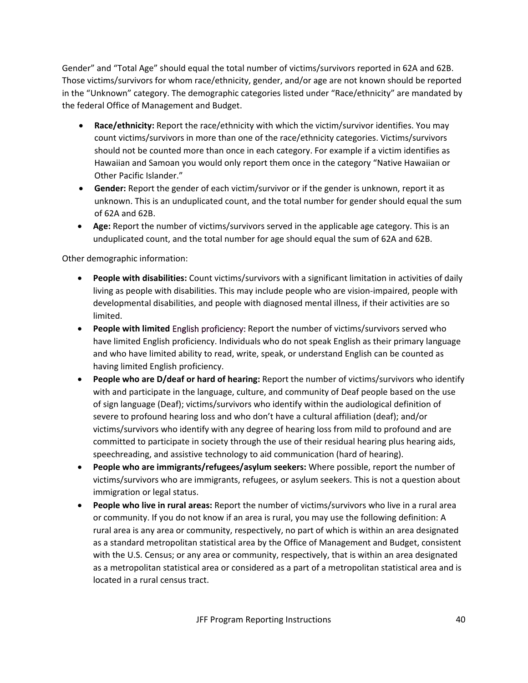Gender" and "Total Age" should equal the total number of victims/survivors reported in 62A and 62B. Those victims/survivors for whom race/ethnicity, gender, and/or age are not known should be reported in the "Unknown" category. The demographic categories listed under "Race/ethnicity" are mandated by the federal Office of Management and Budget.

- **Race/ethnicity:** Report the race/ethnicity with which the victim/survivor identifies. You may count victims/survivors in more than one of the race/ethnicity categories. Victims/survivors should not be counted more than once in each category. For example if a victim identifies as Hawaiian and Samoan you would only report them once in the category "Native Hawaiian or Other Pacific Islander."
- **Gender:** Report the gender of each victim/survivor or if the gender is unknown, report it as unknown. This is an unduplicated count, and the total number for gender should equal the sum of 62A and 62B.
- **Age:** Report the number of victims/survivors served in the applicable age category. This is an unduplicated count, and the total number for age should equal the sum of 62A and 62B.

Other demographic information:

- **People with disabilities:** Count victims/survivors with a significant limitation in activities of daily living as people with disabilities. This may include people who are vision-impaired, people with developmental disabilities, and people with diagnosed mental illness, if their activities are so limited.
- **People with limited** English proficiency: Report the number of victims/survivors served who have limited English proficiency. Individuals who do not speak English as their primary language and who have limited ability to read, write, speak, or understand English can be counted as having limited English proficiency.
- **People who are D/deaf or hard of hearing:** Report the number of victims/survivors who identify with and participate in the language, culture, and community of Deaf people based on the use of sign language (Deaf); victims/survivors who identify within the audiological definition of severe to profound hearing loss and who don't have a cultural affiliation (deaf); and/or victims/survivors who identify with any degree of hearing loss from mild to profound and are committed to participate in society through the use of their residual hearing plus hearing aids, speechreading, and assistive technology to aid communication (hard of hearing).
- **People who are immigrants/refugees/asylum seekers:** Where possible, report the number of victims/survivors who are immigrants, refugees, or asylum seekers. This is not a question about immigration or legal status.
- **People who live in rural areas:** Report the number of victims/survivors who live in a rural area or community. If you do not know if an area is rural, you may use the following definition: A rural area is any area or community, respectively, no part of which is within an area designated as a standard metropolitan statistical area by the Office of Management and Budget, consistent with the U.S. Census; or any area or community, respectively, that is within an area designated as a metropolitan statistical area or considered as a part of a metropolitan statistical area and is located in a rural census tract.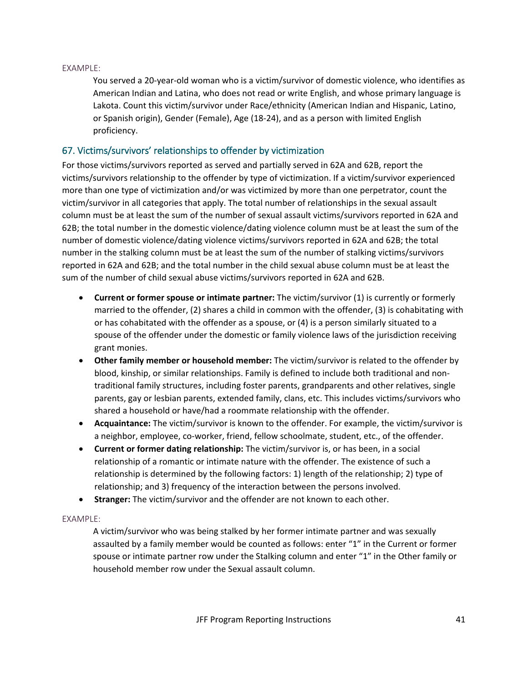### EXAMPLE:

You served a 20-year-old woman who is a victim/survivor of domestic violence, who identifies as American Indian and Latina, who does not read or write English, and whose primary language is Lakota. Count this victim/survivor under Race/ethnicity (American Indian and Hispanic, Latino, or Spanish origin), Gender (Female), Age (18-24), and as a person with limited English proficiency.

## 67. Victims/survivors' relationships to offender by victimization

For those victims/survivors reported as served and partially served in 62A and 62B, report the victims/survivors relationship to the offender by type of victimization. If a victim/survivor experienced more than one type of victimization and/or was victimized by more than one perpetrator, count the victim/survivor in all categories that apply. The total number of relationships in the sexual assault column must be at least the sum of the number of sexual assault victims/survivors reported in 62A and 62B; the total number in the domestic violence/dating violence column must be at least the sum of the number of domestic violence/dating violence victims/survivors reported in 62A and 62B; the total number in the stalking column must be at least the sum of the number of stalking victims/survivors reported in 62A and 62B; and the total number in the child sexual abuse column must be at least the sum of the number of child sexual abuse victims/survivors reported in 62A and 62B.

- **Current or former spouse or intimate partner:** The victim/survivor (1) is currently or formerly married to the offender, (2) shares a child in common with the offender, (3) is cohabitating with or has cohabitated with the offender as a spouse, or (4) is a person similarly situated to a spouse of the offender under the domestic or family violence laws of the jurisdiction receiving grant monies.
- **Other family member or household member:** The victim/survivor is related to the offender by blood, kinship, or similar relationships. Family is defined to include both traditional and nontraditional family structures, including foster parents, grandparents and other relatives, single parents, gay or lesbian parents, extended family, clans, etc. This includes victims/survivors who shared a household or have/had a roommate relationship with the offender.
- **Acquaintance:** The victim/survivor is known to the offender. For example, the victim/survivor is a neighbor, employee, co-worker, friend, fellow schoolmate, student, etc., of the offender.
- **Current or former dating relationship:** The victim/survivor is, or has been, in a social relationship of a romantic or intimate nature with the offender. The existence of such a relationship is determined by the following factors: 1) length of the relationship; 2) type of relationship; and 3) frequency of the interaction between the persons involved.
- **Stranger:** The victim/survivor and the offender are not known to each other.

### EXAMPLE:

A victim/survivor who was being stalked by her former intimate partner and was sexually assaulted by a family member would be counted as follows: enter "1" in the Current or former spouse or intimate partner row under the Stalking column and enter "1" in the Other family or household member row under the Sexual assault column.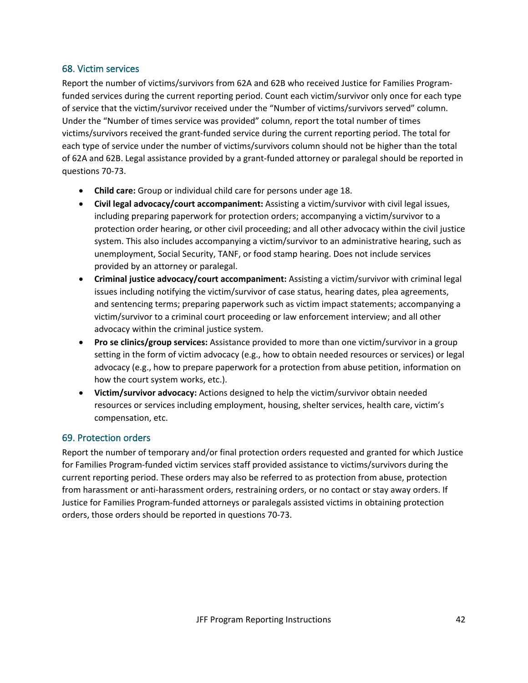## 68. Victim services

Report the number of victims/survivors from 62A and 62B who received Justice for Families Programfunded services during the current reporting period. Count each victim/survivor only once for each type of service that the victim/survivor received under the "Number of victims/survivors served" column. Under the "Number of times service was provided" column, report the total number of times victims/survivors received the grant-funded service during the current reporting period. The total for each type of service under the number of victims/survivors column should not be higher than the total of 62A and 62B. Legal assistance provided by a grant-funded attorney or paralegal should be reported in questions 70-73.

- **Child care:** Group or individual child care for persons under age 18.
- **Civil legal advocacy/court accompaniment:** Assisting a victim/survivor with civil legal issues, including preparing paperwork for protection orders; accompanying a victim/survivor to a protection order hearing, or other civil proceeding; and all other advocacy within the civil justice system. This also includes accompanying a victim/survivor to an administrative hearing, such as unemployment, Social Security, TANF, or food stamp hearing. Does not include services provided by an attorney or paralegal.
- **Criminal justice advocacy/court accompaniment:** Assisting a victim/survivor with criminal legal issues including notifying the victim/survivor of case status, hearing dates, plea agreements, and sentencing terms; preparing paperwork such as victim impact statements; accompanying a victim/survivor to a criminal court proceeding or law enforcement interview; and all other advocacy within the criminal justice system.
- **Pro se clinics/group services:** Assistance provided to more than one victim/survivor in a group setting in the form of victim advocacy (e.g., how to obtain needed resources or services) or legal advocacy (e.g., how to prepare paperwork for a protection from abuse petition, information on how the court system works, etc.).
- **Victim/survivor advocacy:** Actions designed to help the victim/survivor obtain needed resources or services including employment, housing, shelter services, health care, victim's compensation, etc.

### 69. Protection orders

Report the number of temporary and/or final protection orders requested and granted for which Justice for Families Program-funded victim services staff provided assistance to victims/survivors during the current reporting period. These orders may also be referred to as protection from abuse, protection from harassment or anti-harassment orders, restraining orders, or no contact or stay away orders. If Justice for Families Program-funded attorneys or paralegals assisted victims in obtaining protection orders, those orders should be reported in questions 70-73.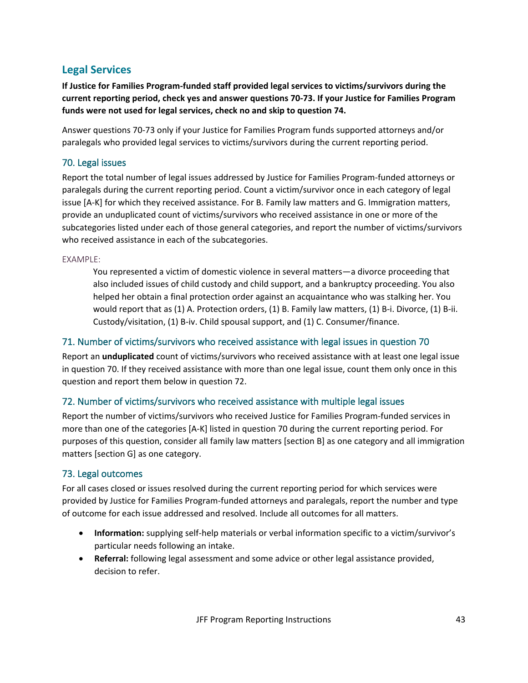# **Legal Services**

**If Justice for Families Program-funded staff provided legal services to victims/survivors during the current reporting period, check yes and answer questions 70-73. If your Justice for Families Program funds were not used for legal services, check no and skip to question 74.**

Answer questions 70-73 only if your Justice for Families Program funds supported attorneys and/or paralegals who provided legal services to victims/survivors during the current reporting period.

## 70. Legal issues

Report the total number of legal issues addressed by Justice for Families Program-funded attorneys or paralegals during the current reporting period. Count a victim/survivor once in each category of legal issue [A-K] for which they received assistance. For B. Family law matters and G. Immigration matters, provide an unduplicated count of victims/survivors who received assistance in one or more of the subcategories listed under each of those general categories, and report the number of victims/survivors who received assistance in each of the subcategories.

EXAMPLE:

You represented a victim of domestic violence in several matters—a divorce proceeding that also included issues of child custody and child support, and a bankruptcy proceeding. You also helped her obtain a final protection order against an acquaintance who was stalking her. You would report that as (1) A. Protection orders, (1) B. Family law matters, (1) B-i. Divorce, (1) B-ii. Custody/visitation, (1) B-iv. Child spousal support, and (1) C. Consumer/finance.

## 71. Number of victims/survivors who received assistance with legal issues in question 70

Report an **unduplicated** count of victims/survivors who received assistance with at least one legal issue in question 70. If they received assistance with more than one legal issue, count them only once in this question and report them below in question 72.

## 72. Number of victims/survivors who received assistance with multiple legal issues

Report the number of victims/survivors who received Justice for Families Program-funded services in more than one of the categories [A-K] listed in question 70 during the current reporting period. For purposes of this question, consider all family law matters [section B] as one category and all immigration matters [section G] as one category.

## 73. Legal outcomes

For all cases closed or issues resolved during the current reporting period for which services were provided by Justice for Families Program-funded attorneys and paralegals, report the number and type of outcome for each issue addressed and resolved. Include all outcomes for all matters.

- **Information:** supplying self-help materials or verbal information specific to a victim/survivor's particular needs following an intake.
- **Referral:** following legal assessment and some advice or other legal assistance provided, decision to refer.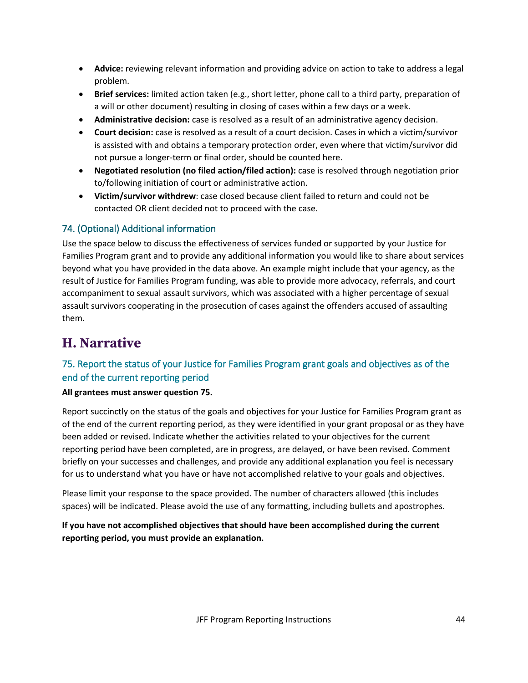- **Advice:** reviewing relevant information and providing advice on action to take to address a legal problem.
- **Brief services:** limited action taken (e.g., short letter, phone call to a third party, preparation of a will or other document) resulting in closing of cases within a few days or a week.
- **Administrative decision:** case is resolved as a result of an administrative agency decision.
- **Court decision:** case is resolved as a result of a court decision. Cases in which a victim/survivor is assisted with and obtains a temporary protection order, even where that victim/survivor did not pursue a longer-term or final order, should be counted here.
- **Negotiated resolution (no filed action/filed action):** case is resolved through negotiation prior to/following initiation of court or administrative action.
- **Victim/survivor withdrew**: case closed because client failed to return and could not be contacted OR client decided not to proceed with the case.

## 74. (Optional) Additional information

Use the space below to discuss the effectiveness of services funded or supported by your Justice for Families Program grant and to provide any additional information you would like to share about services beyond what you have provided in the data above. An example might include that your agency, as the result of Justice for Families Program funding, was able to provide more advocacy, referrals, and court accompaniment to sexual assault survivors, which was associated with a higher percentage of sexual assault survivors cooperating in the prosecution of cases against the offenders accused of assaulting them.

# **H. Narrative**

## 75. Report the status of your Justice for Families Program grant goals and objectives as of the end of the current reporting period

### **All grantees must answer question 75.**

Report succinctly on the status of the goals and objectives for your Justice for Families Program grant as of the end of the current reporting period, as they were identified in your grant proposal or as they have been added or revised. Indicate whether the activities related to your objectives for the current reporting period have been completed, are in progress, are delayed, or have been revised. Comment briefly on your successes and challenges, and provide any additional explanation you feel is necessary for us to understand what you have or have not accomplished relative to your goals and objectives.

Please limit your response to the space provided. The number of characters allowed (this includes spaces) will be indicated. Please avoid the use of any formatting, including bullets and apostrophes.

**If you have not accomplished objectives that should have been accomplished during the current reporting period, you must provide an explanation.**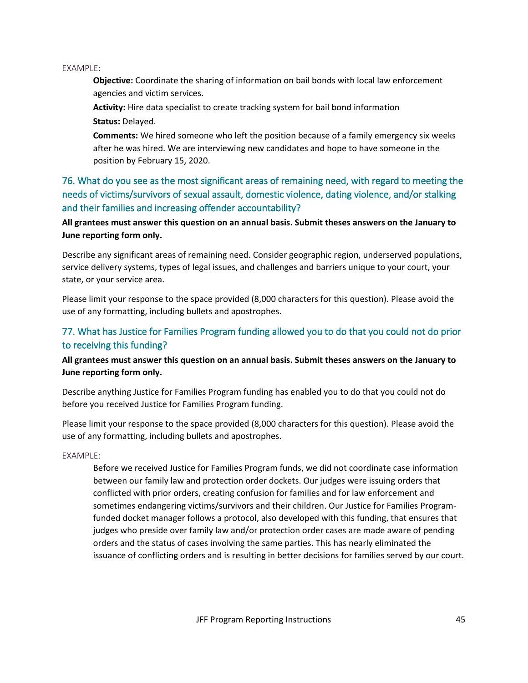### EXAMPLE:

**Objective:** Coordinate the sharing of information on bail bonds with local law enforcement agencies and victim services.

**Activity:** Hire data specialist to create tracking system for bail bond information **Status:** Delayed.

**Comments:** We hired someone who left the position because of a family emergency six weeks after he was hired. We are interviewing new candidates and hope to have someone in the position by February 15, 2020.

76. What do you see as the most significant areas of remaining need, with regard to meeting the needs of victims/survivors of sexual assault, domestic violence, dating violence, and/or stalking and their families and increasing offender accountability?

**All grantees must answer this question on an annual basis. Submit theses answers on the January to June reporting form only.**

Describe any significant areas of remaining need. Consider geographic region, underserved populations, service delivery systems, types of legal issues, and challenges and barriers unique to your court, your state, or your service area.

Please limit your response to the space provided (8,000 characters for this question). Please avoid the use of any formatting, including bullets and apostrophes.

## 77. What has Justice for Families Program funding allowed you to do that you could not do prior to receiving this funding?

## **All grantees must answer this question on an annual basis. Submit theses answers on the January to June reporting form only.**

Describe anything Justice for Families Program funding has enabled you to do that you could not do before you received Justice for Families Program funding.

Please limit your response to the space provided (8,000 characters for this question). Please avoid the use of any formatting, including bullets and apostrophes.

### EXAMPLE:

Before we received Justice for Families Program funds, we did not coordinate case information between our family law and protection order dockets. Our judges were issuing orders that conflicted with prior orders, creating confusion for families and for law enforcement and sometimes endangering victims/survivors and their children. Our Justice for Families Programfunded docket manager follows a protocol, also developed with this funding, that ensures that judges who preside over family law and/or protection order cases are made aware of pending orders and the status of cases involving the same parties. This has nearly eliminated the issuance of conflicting orders and is resulting in better decisions for families served by our court.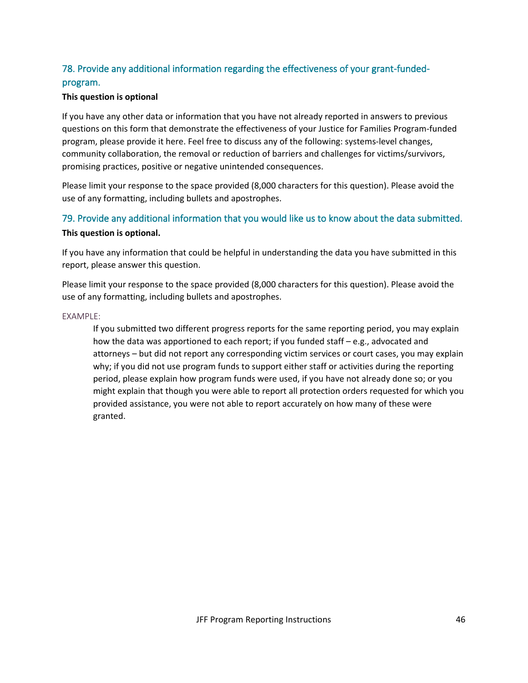## 78. Provide any additional information regarding the effectiveness of your grant-fundedprogram.

### **This question is optional**

If you have any other data or information that you have not already reported in answers to previous questions on this form that demonstrate the effectiveness of your Justice for Families Program-funded program, please provide it here. Feel free to discuss any of the following: systems-level changes, community collaboration, the removal or reduction of barriers and challenges for victims/survivors, promising practices, positive or negative unintended consequences.

Please limit your response to the space provided (8,000 characters for this question). Please avoid the use of any formatting, including bullets and apostrophes.

## 79. Provide any additional information that you would like us to know about the data submitted. **This question is optional.**

If you have any information that could be helpful in understanding the data you have submitted in this report, please answer this question.

Please limit your response to the space provided (8,000 characters for this question). Please avoid the use of any formatting, including bullets and apostrophes.

### EXAMPLE:

If you submitted two different progress reports for the same reporting period, you may explain how the data was apportioned to each report; if you funded staff – e.g., advocated and attorneys – but did not report any corresponding victim services or court cases, you may explain why; if you did not use program funds to support either staff or activities during the reporting period, please explain how program funds were used, if you have not already done so; or you might explain that though you were able to report all protection orders requested for which you provided assistance, you were not able to report accurately on how many of these were granted.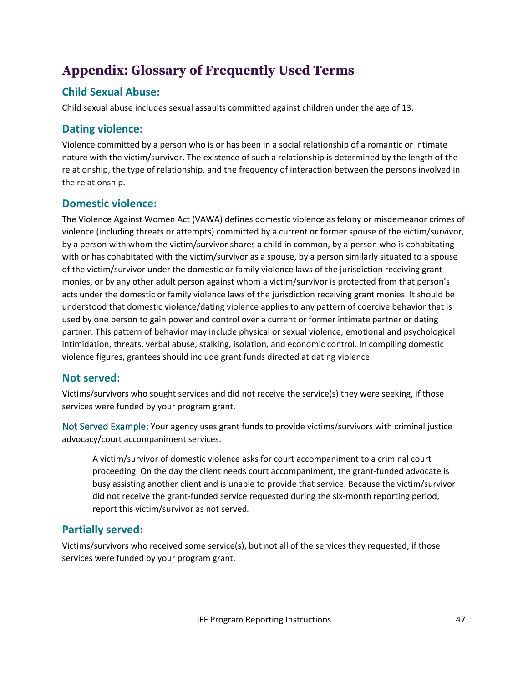# **Appendix: Glossary of Frequently Used Terms**

# **Child Sexual Abuse:**

Child sexual abuse includes sexual assaults committed against children under the age of 13.

## **Dating violence:**

Violence committed by a person who is or has been in a social relationship of a romantic or intimate nature with the victim/survivor. The existence of such a relationship is determined by the length of the relationship, the type of relationship, and the frequency of interaction between the persons involved in the relationship.

# **Domestic violence:**

The Violence Against Women Act (VAWA) defines domestic violence as felony or misdemeanor crimes of violence (including threats or attempts) committed by a current or former spouse of the victim/survivor, by a person with whom the victim/survivor shares a child in common, by a person who is cohabitating with or has cohabitated with the victim/survivor as a spouse, by a person similarly situated to a spouse of the victim/survivor under the domestic or family violence laws of the jurisdiction receiving grant monies, or by any other adult person against whom a victim/survivor is protected from that person's acts under the domestic or family violence laws of the jurisdiction receiving grant monies. It should be understood that domestic violence/dating violence applies to any pattern of coercive behavior that is used by one person to gain power and control over a current or former intimate partner or dating partner. This pattern of behavior may include physical or sexual violence, emotional and psychological intimidation, threats, verbal abuse, stalking, isolation, and economic control. In compiling domestic violence figures, grantees should include grant funds directed at dating violence.

## **Not served:**

Victims/survivors who sought services and did not receive the service(s) they were seeking, if those services were funded by your program grant.

Not Served Example: Your agency uses grant funds to provide victims/survivors with criminal justice advocacy/court accompaniment services.

A victim/survivor of domestic violence asks for court accompaniment to a criminal court proceeding. On the day the client needs court accompaniment, the grant-funded advocate is busy assisting another client and is unable to provide that service. Because the victim/survivor did not receive the grant-funded service requested during the six-month reporting period, report this victim/survivor as not served*.*

# **Partially served:**

Victims/survivors who received some service(s), but not all of the services they requested, if those services were funded by your program grant.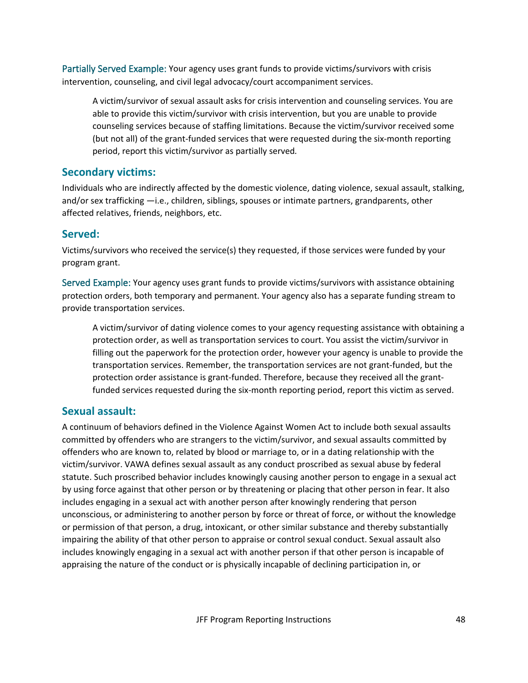Partially Served Example: Your agency uses grant funds to provide victims/survivors with crisis intervention, counseling, and civil legal advocacy/court accompaniment services.

A victim/survivor of sexual assault asks for crisis intervention and counseling services. You are able to provide this victim/survivor with crisis intervention, but you are unable to provide counseling services because of staffing limitations. Because the victim/survivor received some (but not all) of the grant-funded services that were requested during the six-month reporting period, report this victim/survivor as partially served*.*

## **Secondary victims:**

Individuals who are indirectly affected by the domestic violence, dating violence, sexual assault, stalking, and/or sex trafficking —i.e., children, siblings, spouses or intimate partners, grandparents, other affected relatives, friends, neighbors, etc.

## **Served:**

Victims/survivors who received the service(s) they requested, if those services were funded by your program grant.

Served Example: Your agency uses grant funds to provide victims/survivors with assistance obtaining protection orders, both temporary and permanent. Your agency also has a separate funding stream to provide transportation services.

A victim/survivor of dating violence comes to your agency requesting assistance with obtaining a protection order, as well as transportation services to court. You assist the victim/survivor in filling out the paperwork for the protection order, however your agency is unable to provide the transportation services. Remember, the transportation services are not grant-funded, but the protection order assistance is grant-funded. Therefore, because they received all the grantfunded services requested during the six-month reporting period, report this victim as served.

## **Sexual assault:**

A continuum of behaviors defined in the Violence Against Women Act to include both sexual assaults committed by offenders who are strangers to the victim/survivor, and sexual assaults committed by offenders who are known to, related by blood or marriage to, or in a dating relationship with the victim/survivor. VAWA defines sexual assault as any conduct proscribed as sexual abuse by federal statute. Such proscribed behavior includes knowingly causing another person to engage in a sexual act by using force against that other person or by threatening or placing that other person in fear. It also includes engaging in a sexual act with another person after knowingly rendering that person unconscious, or administering to another person by force or threat of force, or without the knowledge or permission of that person, a drug, intoxicant, or other similar substance and thereby substantially impairing the ability of that other person to appraise or control sexual conduct. Sexual assault also includes knowingly engaging in a sexual act with another person if that other person is incapable of appraising the nature of the conduct or is physically incapable of declining participation in, or